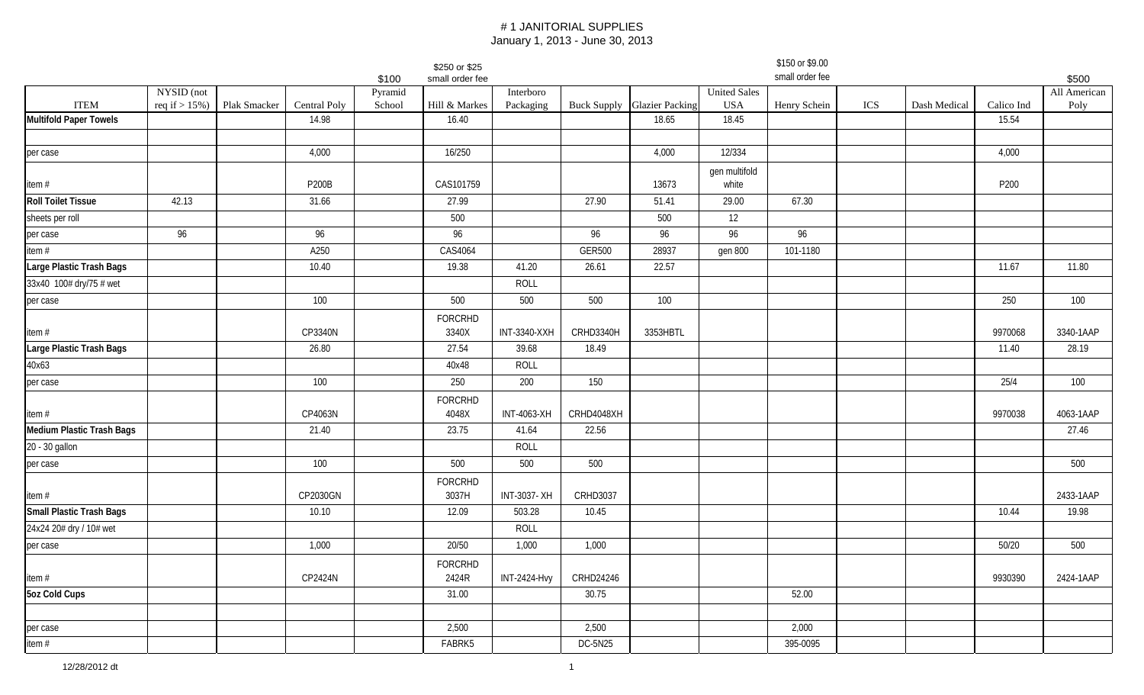|                                  |                   |              |              |                  | \$250 or \$25           |                     |                 |                                    |                        | \$150 or \$9.00<br>small order fee |     |              |            |                       |
|----------------------------------|-------------------|--------------|--------------|------------------|-------------------------|---------------------|-----------------|------------------------------------|------------------------|------------------------------------|-----|--------------|------------|-----------------------|
|                                  | NYSID (not        |              |              | \$100<br>Pyramid | small order fee         | Interboro           |                 |                                    | <b>United Sales</b>    |                                    |     |              |            | \$500<br>All American |
| <b>ITEM</b>                      | req if $> 15\%$ ) | Plak Smacker | Central Poly | School           | Hill & Markes           | Packaging           |                 | <b>Buck Supply</b> Glazier Packing | <b>USA</b>             | Henry Schein                       | ICS | Dash Medical | Calico Ind | Poly                  |
| <b>Multifold Paper Towels</b>    |                   |              | 14.98        |                  | 16.40                   |                     |                 | 18.65                              | 18.45                  |                                    |     |              | 15.54      |                       |
|                                  |                   |              |              |                  |                         |                     |                 |                                    |                        |                                    |     |              |            |                       |
| per case                         |                   |              | 4,000        |                  | 16/250                  |                     |                 | 4,000                              | 12/334                 |                                    |     |              | 4,000      |                       |
| item #                           |                   |              | P200B        |                  | CAS101759               |                     |                 | 13673                              | gen multifold<br>white |                                    |     |              | P200       |                       |
| <b>Roll Toilet Tissue</b>        | 42.13             |              | 31.66        |                  | 27.99                   |                     | 27.90           | 51.41                              | 29.00                  | 67.30                              |     |              |            |                       |
| sheets per roll                  |                   |              |              |                  | 500                     |                     |                 | 500                                | 12                     |                                    |     |              |            |                       |
| per case                         | 96                |              | 96           |                  | 96                      |                     | 96              | 96                                 | 96                     | 96                                 |     |              |            |                       |
| item#                            |                   |              | A250         |                  | CAS4064                 |                     | <b>GER500</b>   | 28937                              | gen 800                | 101-1180                           |     |              |            |                       |
| Large Plastic Trash Bags         |                   |              | 10.40        |                  | 19.38                   | 41.20               | 26.61           | 22.57                              |                        |                                    |     |              | 11.67      | 11.80                 |
| 33x40 100# dry/75 # wet          |                   |              |              |                  |                         | <b>ROLL</b>         |                 |                                    |                        |                                    |     |              |            |                       |
| per case                         |                   |              | 100          |                  | 500                     | 500                 | 500             | 100                                |                        |                                    |     |              | 250        | 100                   |
| item #                           |                   |              | CP3340N      |                  | FORCRHD<br>3340X        | <b>INT-3340-XXH</b> | CRHD3340H       | 3353HBTL                           |                        |                                    |     |              | 9970068    | 3340-1AAP             |
| Large Plastic Trash Bags         |                   |              | 26.80        |                  | 27.54                   | 39.68               | 18.49           |                                    |                        |                                    |     |              | 11.40      | 28.19                 |
| 40x63                            |                   |              |              |                  | 40x48                   | ROLL                |                 |                                    |                        |                                    |     |              |            |                       |
| per case                         |                   |              | 100          |                  | 250                     | 200                 | 150             |                                    |                        |                                    |     |              | 25/4       | 100                   |
|                                  |                   |              |              |                  | FORCRHD                 |                     |                 |                                    |                        |                                    |     |              |            |                       |
| item #                           |                   |              | CP4063N      |                  | 4048X                   | <b>INT-4063-XH</b>  | CRHD4048XH      |                                    |                        |                                    |     |              | 9970038    | 4063-1AAP             |
| <b>Medium Plastic Trash Bags</b> |                   |              | 21.40        |                  | 23.75                   | 41.64               | 22.56           |                                    |                        |                                    |     |              |            | 27.46                 |
| 20 - 30 gallon                   |                   |              |              |                  |                         | ROLL                |                 |                                    |                        |                                    |     |              |            |                       |
| per case                         |                   |              | 100          |                  | 500                     | 500                 | 500             |                                    |                        |                                    |     |              |            | 500                   |
| item #                           |                   |              | CP2030GN     |                  | FORCRHD<br>3037H        | INT-3037-XH         | <b>CRHD3037</b> |                                    |                        |                                    |     |              |            | 2433-1AAP             |
| <b>Small Plastic Trash Bags</b>  |                   |              | 10.10        |                  | 12.09                   | 503.28              | 10.45           |                                    |                        |                                    |     |              | 10.44      | 19.98                 |
| 24x24 20# dry / 10# wet          |                   |              |              |                  |                         | ROLL                |                 |                                    |                        |                                    |     |              |            |                       |
| per case                         |                   |              | 1,000        |                  | 20/50                   | 1,000               | 1,000           |                                    |                        |                                    |     |              | 50/20      | 500                   |
| item #                           |                   |              | CP2424N      |                  | <b>FORCRHD</b><br>2424R | <b>INT-2424-Hvy</b> | CRHD24246       |                                    |                        |                                    |     |              | 9930390    | 2424-1AAP             |
| 5oz Cold Cups                    |                   |              |              |                  | 31.00                   |                     | 30.75           |                                    |                        | 52.00                              |     |              |            |                       |
|                                  |                   |              |              |                  |                         |                     |                 |                                    |                        |                                    |     |              |            |                       |
| per case                         |                   |              |              |                  | 2,500                   |                     | 2,500           |                                    |                        | 2,000                              |     |              |            |                       |
| item#                            |                   |              |              |                  | FABRK5                  |                     | DC-5N25         |                                    |                        | 395-0095                           |     |              |            |                       |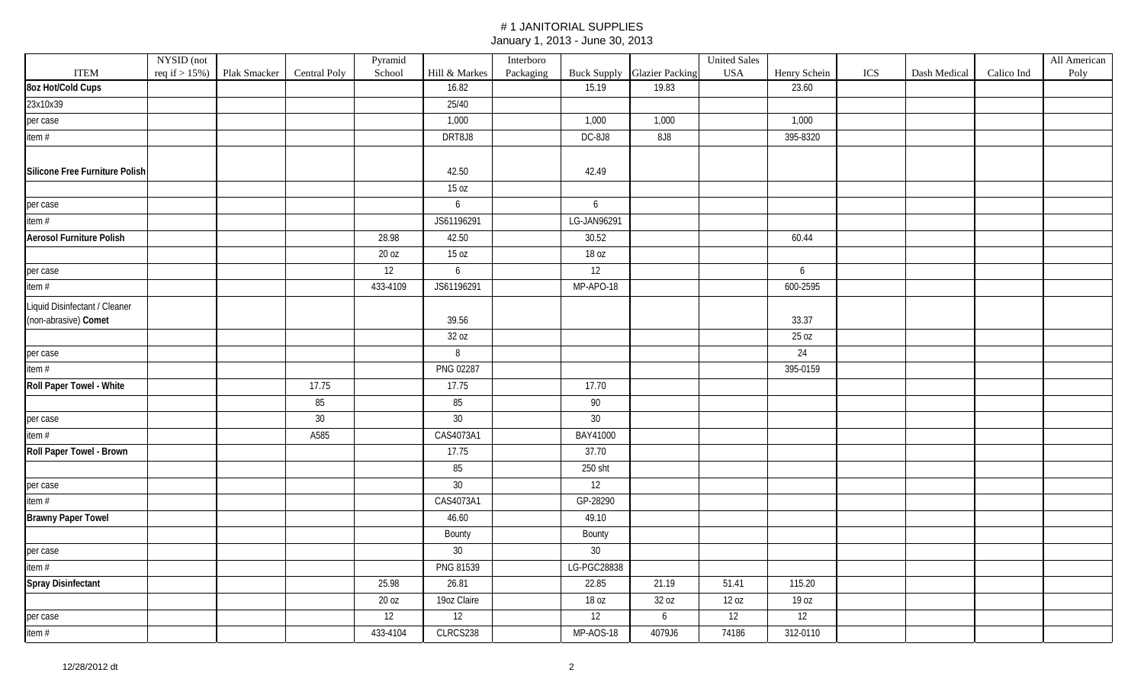|                                 | NYSID (not        |              |                     | Pyramid  |               | Interboro |                 |                                    | <b>United Sales</b> |              |     |              |            | All American |
|---------------------------------|-------------------|--------------|---------------------|----------|---------------|-----------|-----------------|------------------------------------|---------------------|--------------|-----|--------------|------------|--------------|
| <b>ITEM</b>                     | req if $> 15\%$ ) | Plak Smacker | <b>Central Poly</b> | School   | Hill & Markes | Packaging |                 | <b>Buck Supply</b> Glazier Packing | <b>USA</b>          | Henry Schein | ICS | Dash Medical | Calico Ind | Poly         |
| 8oz Hot/Cold Cups               |                   |              |                     |          | 16.82         |           | 15.19           | 19.83                              |                     | 23.60        |     |              |            |              |
| 23x10x39                        |                   |              |                     |          | 25/40         |           |                 |                                    |                     |              |     |              |            |              |
| per case                        |                   |              |                     |          | 1,000         |           | 1,000           | 1,000                              |                     | 1,000        |     |              |            |              |
| item #                          |                   |              |                     |          | DRT8J8        |           | DC-8J8          | <b>8J8</b>                         |                     | 395-8320     |     |              |            |              |
|                                 |                   |              |                     |          |               |           |                 |                                    |                     |              |     |              |            |              |
| Silicone Free Furniture Polish  |                   |              |                     |          | 42.50         |           | 42.49           |                                    |                     |              |     |              |            |              |
|                                 |                   |              |                     |          | 15 oz         |           |                 |                                    |                     |              |     |              |            |              |
| per case                        |                   |              |                     |          | 6             |           | 6               |                                    |                     |              |     |              |            |              |
| item #                          |                   |              |                     |          | JS61196291    |           | LG-JAN96291     |                                    |                     |              |     |              |            |              |
| <b>Aerosol Furniture Polish</b> |                   |              |                     | 28.98    | 42.50         |           | 30.52           |                                    |                     | 60.44        |     |              |            |              |
|                                 |                   |              |                     | 20 oz    | 15 oz         |           | 18 oz           |                                    |                     |              |     |              |            |              |
| per case                        |                   |              |                     | 12       | 6             |           | 12              |                                    |                     | 6            |     |              |            |              |
| item #                          |                   |              |                     | 433-4109 | JS61196291    |           | MP-APO-18       |                                    |                     | 600-2595     |     |              |            |              |
| Liquid Disinfectant / Cleaner   |                   |              |                     |          |               |           |                 |                                    |                     |              |     |              |            |              |
| (non-abrasive) Comet            |                   |              |                     |          | 39.56         |           |                 |                                    |                     | 33.37        |     |              |            |              |
|                                 |                   |              |                     |          | 32 oz         |           |                 |                                    |                     | 25 oz        |     |              |            |              |
| per case                        |                   |              |                     |          | $\, 8$        |           |                 |                                    |                     | 24           |     |              |            |              |
| item $#$                        |                   |              |                     |          | PNG 02287     |           |                 |                                    |                     | 395-0159     |     |              |            |              |
| Roll Paper Towel - White        |                   |              | 17.75               |          | 17.75         |           | 17.70           |                                    |                     |              |     |              |            |              |
|                                 |                   |              | 85                  |          | 85            |           | 90              |                                    |                     |              |     |              |            |              |
| per case                        |                   |              | $30\,$              |          | $30\,$        |           | $30\,$          |                                    |                     |              |     |              |            |              |
| item #                          |                   |              | A585                |          | CAS4073A1     |           | BAY41000        |                                    |                     |              |     |              |            |              |
| Roll Paper Towel - Brown        |                   |              |                     |          | 17.75         |           | 37.70           |                                    |                     |              |     |              |            |              |
|                                 |                   |              |                     |          | 85            |           | 250 sht         |                                    |                     |              |     |              |            |              |
| per case                        |                   |              |                     |          | $30\,$        |           | 12              |                                    |                     |              |     |              |            |              |
| item #                          |                   |              |                     |          | CAS4073A1     |           | GP-28290        |                                    |                     |              |     |              |            |              |
| <b>Brawny Paper Towel</b>       |                   |              |                     |          | 46.60         |           | 49.10           |                                    |                     |              |     |              |            |              |
|                                 |                   |              |                     |          | Bounty        |           | Bounty          |                                    |                     |              |     |              |            |              |
| per case                        |                   |              |                     |          | $30\,$        |           | 30 <sup>°</sup> |                                    |                     |              |     |              |            |              |
| item #                          |                   |              |                     |          | PNG 81539     |           | LG-PGC28838     |                                    |                     |              |     |              |            |              |
| Spray Disinfectant              |                   |              |                     | 25.98    | 26.81         |           | 22.85           | 21.19                              | 51.41               | 115.20       |     |              |            |              |
|                                 |                   |              |                     | 20 oz    | 19oz Claire   |           | 18 oz           | 32 oz                              | 12 oz               | 19 oz        |     |              |            |              |
| per case                        |                   |              |                     | 12       | 12            |           | 12              | 6                                  | 12                  | 12           |     |              |            |              |
| item #                          |                   |              |                     | 433-4104 | CLRCS238      |           | MP-AOS-18       | 4079J6                             | 74186               | 312-0110     |     |              |            |              |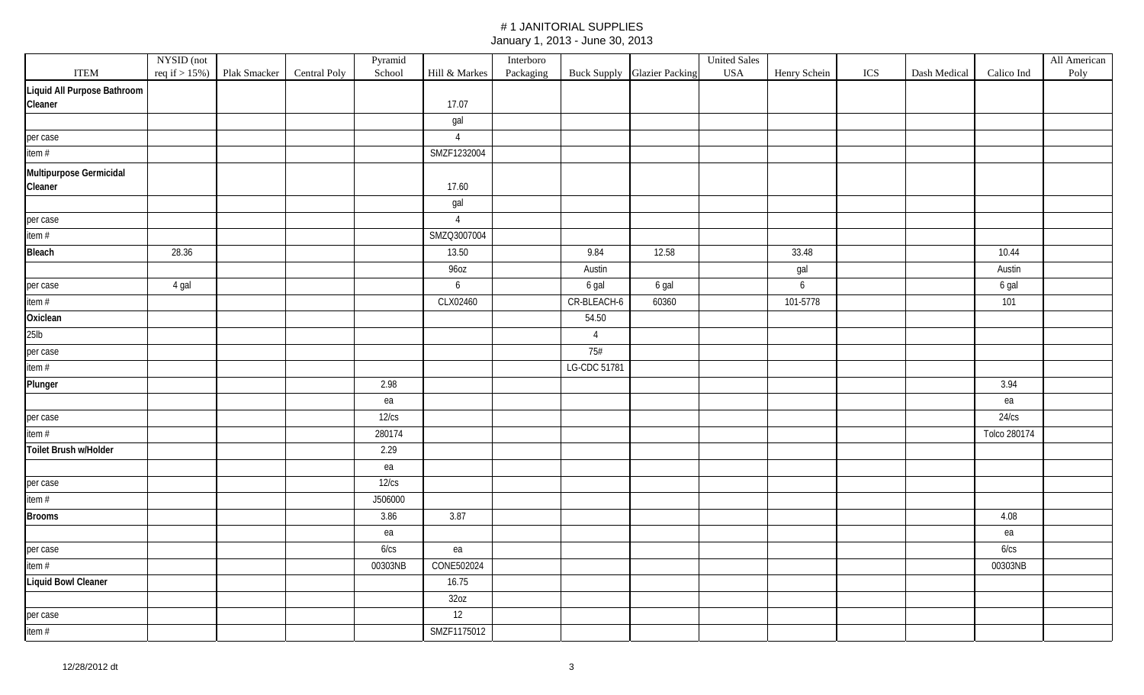|                                    | NYSID (not |                                |              | Pyramid |                  | Interboro |                |                                    | <b>United Sales</b> |                |     |              |              | All American |
|------------------------------------|------------|--------------------------------|--------------|---------|------------------|-----------|----------------|------------------------------------|---------------------|----------------|-----|--------------|--------------|--------------|
| <b>ITEM</b>                        |            | req if $> 15\%$ ) Plak Smacker | Central Poly | School  | Hill $\&$ Markes | Packaging |                | <b>Buck Supply Glazier Packing</b> | <b>USA</b>          | Henry Schein   | ICS | Dash Medical | Calico Ind   | Poly         |
| Liquid All Purpose Bathroom        |            |                                |              |         |                  |           |                |                                    |                     |                |     |              |              |              |
| Cleaner                            |            |                                |              |         | 17.07            |           |                |                                    |                     |                |     |              |              |              |
|                                    |            |                                |              |         | gal              |           |                |                                    |                     |                |     |              |              |              |
| per case                           |            |                                |              |         | $\overline{4}$   |           |                |                                    |                     |                |     |              |              |              |
| item#                              |            |                                |              |         | SMZF1232004      |           |                |                                    |                     |                |     |              |              |              |
| Multipurpose Germicidal<br>Cleaner |            |                                |              |         | 17.60            |           |                |                                    |                     |                |     |              |              |              |
|                                    |            |                                |              |         | gal              |           |                |                                    |                     |                |     |              |              |              |
| per case                           |            |                                |              |         | $\overline{4}$   |           |                |                                    |                     |                |     |              |              |              |
| item#                              |            |                                |              |         | SMZQ3007004      |           |                |                                    |                     |                |     |              |              |              |
| Bleach                             | 28.36      |                                |              |         | 13.50            |           | 9.84           | 12.58                              |                     | 33.48          |     |              | 10.44        |              |
|                                    |            |                                |              |         | 960Z             |           | Austin         |                                    |                     | gal            |     |              | Austin       |              |
| per case                           | 4 gal      |                                |              |         | 6                |           | 6 gal          | 6 gal                              |                     | $6\phantom{a}$ |     |              | 6 gal        |              |
| item $#$                           |            |                                |              |         | CLX02460         |           | CR-BLEACH-6    | 60360                              |                     | 101-5778       |     |              | 101          |              |
| Oxiclean                           |            |                                |              |         |                  |           | 54.50          |                                    |                     |                |     |              |              |              |
| 25 <sub>lb</sub>                   |            |                                |              |         |                  |           | $\overline{4}$ |                                    |                     |                |     |              |              |              |
| per case                           |            |                                |              |         |                  |           | 75#            |                                    |                     |                |     |              |              |              |
| item $#$                           |            |                                |              |         |                  |           | LG-CDC 51781   |                                    |                     |                |     |              |              |              |
| Plunger                            |            |                                |              | 2.98    |                  |           |                |                                    |                     |                |     |              | 3.94         |              |
|                                    |            |                                |              | ea      |                  |           |                |                                    |                     |                |     |              | ea           |              |
| per case                           |            |                                |              | 12/cs   |                  |           |                |                                    |                     |                |     |              | 24/cs        |              |
| item $#$                           |            |                                |              | 280174  |                  |           |                |                                    |                     |                |     |              | Tolco 280174 |              |
| Toilet Brush w/Holder              |            |                                |              | 2.29    |                  |           |                |                                    |                     |                |     |              |              |              |
|                                    |            |                                |              | ea      |                  |           |                |                                    |                     |                |     |              |              |              |
| per case                           |            |                                |              | 12/cs   |                  |           |                |                                    |                     |                |     |              |              |              |
| item $#$                           |            |                                |              | J506000 |                  |           |                |                                    |                     |                |     |              |              |              |
| <b>Brooms</b>                      |            |                                |              | 3.86    | 3.87             |           |                |                                    |                     |                |     |              | 4.08         |              |
|                                    |            |                                |              | ea      |                  |           |                |                                    |                     |                |     |              | ea           |              |
| per case                           |            |                                |              | 6/cs    | ea               |           |                |                                    |                     |                |     |              | 6/cs         |              |
| item#                              |            |                                |              | 00303NB | CONE502024       |           |                |                                    |                     |                |     |              | 00303NB      |              |
| <b>Liquid Bowl Cleaner</b>         |            |                                |              |         | 16.75            |           |                |                                    |                     |                |     |              |              |              |
|                                    |            |                                |              |         | 32oz             |           |                |                                    |                     |                |     |              |              |              |
| per case                           |            |                                |              |         | $\overline{12}$  |           |                |                                    |                     |                |     |              |              |              |
| item #                             |            |                                |              |         | SMZF1175012      |           |                |                                    |                     |                |     |              |              |              |
|                                    |            |                                |              |         |                  |           |                |                                    |                     |                |     |              |              |              |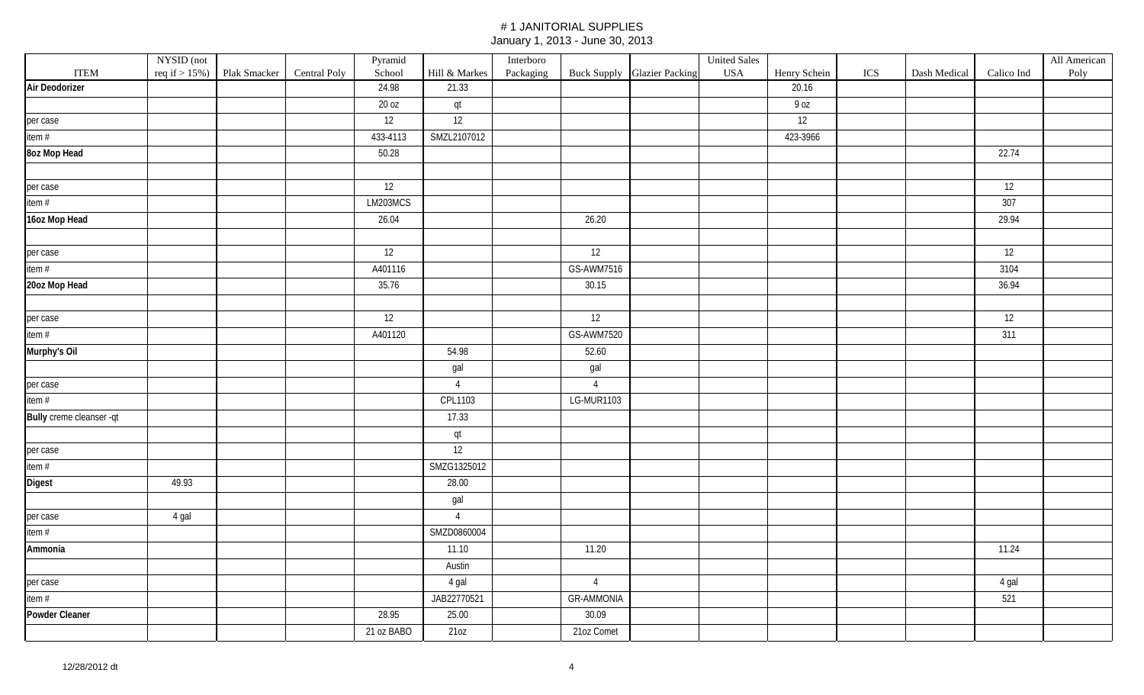|                          | NYSID (not |                                |              | Pyramid    |                | Interboro |                   |                             | <b>United Sales</b> |              |     |              |            | All American |
|--------------------------|------------|--------------------------------|--------------|------------|----------------|-----------|-------------------|-----------------------------|---------------------|--------------|-----|--------------|------------|--------------|
| <b>ITEM</b>              |            | req if $> 15\%$ ) Plak Smacker | Central Poly | School     | Hill & Markes  | Packaging |                   | Buck Supply Glazier Packing | <b>USA</b>          | Henry Schein | ICS | Dash Medical | Calico Ind | Poly         |
| Air Deodorizer           |            |                                |              | 24.98      | 21.33          |           |                   |                             |                     | 20.16        |     |              |            |              |
|                          |            |                                |              | 20 oz      | qt             |           |                   |                             |                     | 9 oz         |     |              |            |              |
| per case                 |            |                                |              | 12         | 12             |           |                   |                             |                     | 12           |     |              |            |              |
| item #                   |            |                                |              | 433-4113   | SMZL2107012    |           |                   |                             |                     | 423-3966     |     |              |            |              |
| 8oz Mop Head             |            |                                |              | 50.28      |                |           |                   |                             |                     |              |     |              | 22.74      |              |
|                          |            |                                |              |            |                |           |                   |                             |                     |              |     |              |            |              |
| per case                 |            |                                |              | 12         |                |           |                   |                             |                     |              |     |              | 12         |              |
| item #                   |            |                                |              | LM203MCS   |                |           |                   |                             |                     |              |     |              | 307        |              |
| 16oz Mop Head            |            |                                |              | 26.04      |                |           | 26.20             |                             |                     |              |     |              | 29.94      |              |
|                          |            |                                |              |            |                |           |                   |                             |                     |              |     |              |            |              |
| per case                 |            |                                |              | 12         |                |           | 12                |                             |                     |              |     |              | 12         |              |
| item #                   |            |                                |              | A401116    |                |           | GS-AWM7516        |                             |                     |              |     |              | 3104       |              |
| 20oz Mop Head            |            |                                |              | 35.76      |                |           | 30.15             |                             |                     |              |     |              | 36.94      |              |
|                          |            |                                |              |            |                |           |                   |                             |                     |              |     |              |            |              |
| per case                 |            |                                |              | 12         |                |           | 12                |                             |                     |              |     |              | 12         |              |
| item #                   |            |                                |              | A401120    |                |           | GS-AWM7520        |                             |                     |              |     |              | 311        |              |
| Murphy's Oil             |            |                                |              |            | 54.98          |           | 52.60             |                             |                     |              |     |              |            |              |
|                          |            |                                |              |            | gal            |           | gal               |                             |                     |              |     |              |            |              |
| per case                 |            |                                |              |            | $\overline{4}$ |           | $\overline{4}$    |                             |                     |              |     |              |            |              |
| item $#$                 |            |                                |              |            | CPL1103        |           | LG-MUR1103        |                             |                     |              |     |              |            |              |
| Bully creme cleanser -qt |            |                                |              |            | 17.33          |           |                   |                             |                     |              |     |              |            |              |
|                          |            |                                |              |            | qt             |           |                   |                             |                     |              |     |              |            |              |
| per case                 |            |                                |              |            | 12             |           |                   |                             |                     |              |     |              |            |              |
| item #                   |            |                                |              |            | SMZG1325012    |           |                   |                             |                     |              |     |              |            |              |
| Digest                   | 49.93      |                                |              |            | 28.00          |           |                   |                             |                     |              |     |              |            |              |
|                          |            |                                |              |            | gal            |           |                   |                             |                     |              |     |              |            |              |
| per case                 | 4 gal      |                                |              |            | $\overline{4}$ |           |                   |                             |                     |              |     |              |            |              |
| item #                   |            |                                |              |            | SMZD0860004    |           |                   |                             |                     |              |     |              |            |              |
| Ammonia                  |            |                                |              |            | 11.10          |           | 11.20             |                             |                     |              |     |              | 11.24      |              |
|                          |            |                                |              |            | Austin         |           |                   |                             |                     |              |     |              |            |              |
| per case                 |            |                                |              |            | 4 gal          |           | $\overline{4}$    |                             |                     |              |     |              | 4 gal      |              |
| item $#$                 |            |                                |              |            | JAB22770521    |           | <b>GR-AMMONIA</b> |                             |                     |              |     |              | 521        |              |
| <b>Powder Cleaner</b>    |            |                                |              | 28.95      | 25.00          |           | 30.09             |                             |                     |              |     |              |            |              |
|                          |            |                                |              | 21 oz BABO | 210Z           |           | 21oz Comet        |                             |                     |              |     |              |            |              |
|                          |            |                                |              |            |                |           |                   |                             |                     |              |     |              |            |              |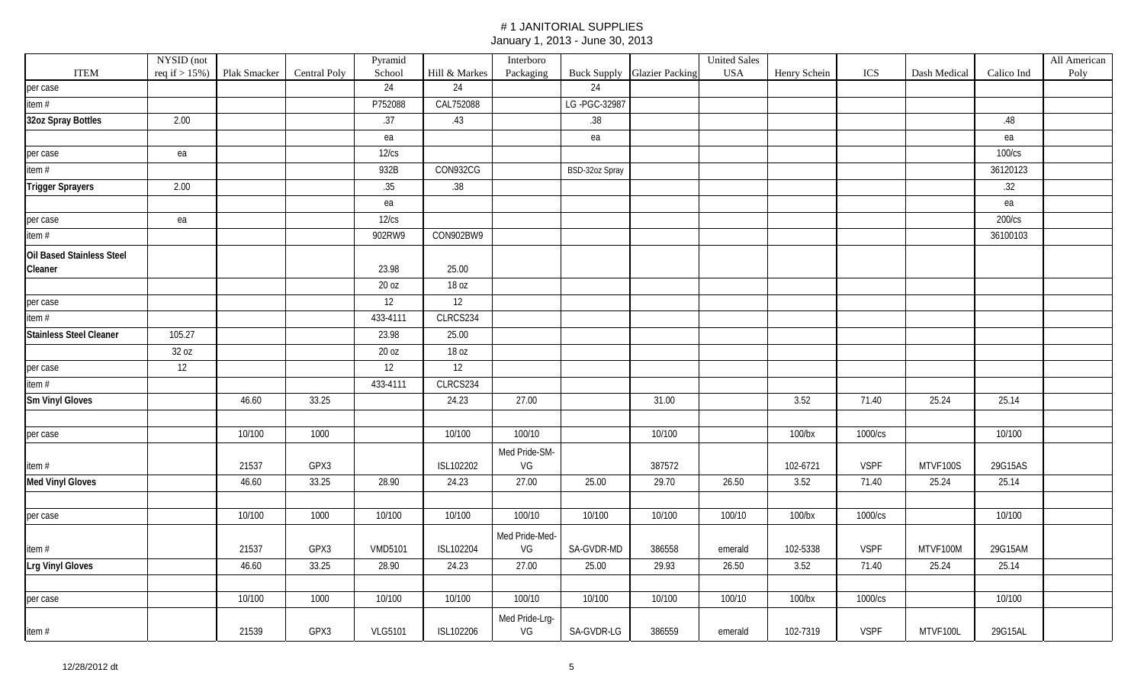|                                | NYSID (not        |              |              | Pyramid        |               | Interboro      |                |                                    | <b>United Sales</b> |              |             |              |            | All American |
|--------------------------------|-------------------|--------------|--------------|----------------|---------------|----------------|----------------|------------------------------------|---------------------|--------------|-------------|--------------|------------|--------------|
| <b>ITEM</b>                    | req if $> 15\%$ ) | Plak Smacker | Central Poly | School         | Hill & Markes | Packaging      |                | <b>Buck Supply Glazier Packing</b> | <b>USA</b>          | Henry Schein | ICS         | Dash Medical | Calico Ind | Poly         |
| per case                       |                   |              |              | 24             | 24            |                | 24             |                                    |                     |              |             |              |            |              |
| item#                          |                   |              |              | P752088        | CAL752088     |                | LG-PGC-32987   |                                    |                     |              |             |              |            |              |
| 32oz Spray Bottles             | 2.00              |              |              | .37            | .43           |                | .38            |                                    |                     |              |             |              | .48        |              |
|                                |                   |              |              | ea             |               |                | ea             |                                    |                     |              |             |              | ea         |              |
| per case                       | ea                |              |              | 12/cs          |               |                |                |                                    |                     |              |             |              | 100/cs     |              |
| item#                          |                   |              |              | 932B           | CON932CG      |                | BSD-32oz Spray |                                    |                     |              |             |              | 36120123   |              |
| <b>Trigger Sprayers</b>        | 2.00              |              |              | .35            | .38           |                |                |                                    |                     |              |             |              | .32        |              |
|                                |                   |              |              | ea             |               |                |                |                                    |                     |              |             |              | ea         |              |
| per case                       | ea                |              |              | 12/cs          |               |                |                |                                    |                     |              |             |              | 200/cs     |              |
| item #                         |                   |              |              | 902RW9         | CON902BW9     |                |                |                                    |                     |              |             |              | 36100103   |              |
| Oil Based Stainless Steel      |                   |              |              |                |               |                |                |                                    |                     |              |             |              |            |              |
| Cleaner                        |                   |              |              | 23.98          | 25.00         |                |                |                                    |                     |              |             |              |            |              |
|                                |                   |              |              | 20 oz          | 18 oz         |                |                |                                    |                     |              |             |              |            |              |
| per case                       |                   |              |              | 12             | 12            |                |                |                                    |                     |              |             |              |            |              |
| item $#$                       |                   |              |              | 433-4111       | CLRCS234      |                |                |                                    |                     |              |             |              |            |              |
| <b>Stainless Steel Cleaner</b> | 105.27            |              |              | 23.98          | 25.00         |                |                |                                    |                     |              |             |              |            |              |
|                                | 32 oz             |              |              | 20 oz          | 18 oz         |                |                |                                    |                     |              |             |              |            |              |
| per case                       | 12                |              |              | 12             | 12            |                |                |                                    |                     |              |             |              |            |              |
| item#                          |                   |              |              | 433-4111       | CLRCS234      |                |                |                                    |                     |              |             |              |            |              |
| <b>Sm Vinyl Gloves</b>         |                   | 46.60        | 33.25        |                | 24.23         | 27.00          |                | 31.00                              |                     | 3.52         | 71.40       | 25.24        | 25.14      |              |
|                                |                   |              |              |                |               |                |                |                                    |                     |              |             |              |            |              |
| per case                       |                   | 10/100       | 1000         |                | 10/100        | 100/10         |                | 10/100                             |                     | 100/bx       | 1000/cs     |              | 10/100     |              |
|                                |                   |              |              |                |               | Med Pride-SM-  |                |                                    |                     |              |             |              |            |              |
| item $#$                       |                   | 21537        | GPX3         |                | ISL102202     | VG             |                | 387572                             |                     | 102-6721     | <b>VSPF</b> | MTVF100S     | 29G15AS    |              |
| <b>Med Vinyl Gloves</b>        |                   | 46.60        | 33.25        | 28.90          | 24.23         | 27.00          | 25.00          | 29.70                              | 26.50               | 3.52         | 71.40       | 25.24        | 25.14      |              |
|                                |                   |              |              |                |               |                |                |                                    |                     |              |             |              |            |              |
| per case                       |                   | 10/100       | 1000         | 10/100         | 10/100        | 100/10         | 10/100         | 10/100                             | 100/10              | $100$ /bx    | 1000/cs     |              | 10/100     |              |
|                                |                   |              |              |                |               | Med Pride-Med- |                |                                    |                     |              |             |              |            |              |
| item $#$                       |                   | 21537        | GPX3         | <b>VMD5101</b> | ISL102204     | VG             | SA-GVDR-MD     | 386558                             | emerald             | 102-5338     | <b>VSPF</b> | MTVF100M     | 29G15AM    |              |
| <b>Lrg Vinyl Gloves</b>        |                   | 46.60        | 33.25        | 28.90          | 24.23         | 27.00          | 25.00          | 29.93                              | 26.50               | 3.52         | 71.40       | 25.24        | 25.14      |              |
|                                |                   |              |              |                |               |                |                |                                    |                     |              |             |              |            |              |
| per case                       |                   | 10/100       | 1000         | 10/100         | 10/100        | 100/10         | 10/100         | 10/100                             | 100/10              | $100$ /bx    | 1000/cs     |              | 10/100     |              |
|                                |                   |              |              |                |               | Med Pride-Lrg- |                |                                    |                     |              |             |              |            |              |
| item#                          |                   | 21539        | GPX3         | <b>VLG5101</b> | ISL102206     | VG             | SA-GVDR-LG     | 386559                             | emerald             | 102-7319     | <b>VSPF</b> | MTVF100L     | 29G15AL    |              |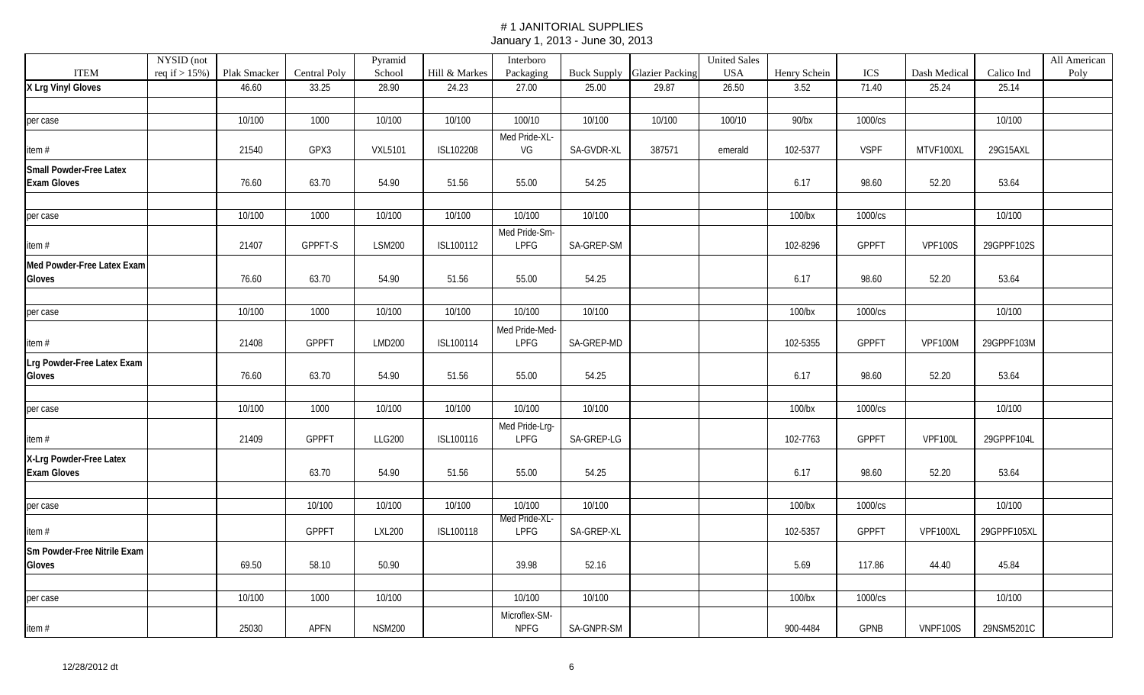|                                | NYSID (not        |              |                     | Pyramid        |               | Interboro      |            |                                    | <b>United Sales</b> |              |              |                |             | All American |
|--------------------------------|-------------------|--------------|---------------------|----------------|---------------|----------------|------------|------------------------------------|---------------------|--------------|--------------|----------------|-------------|--------------|
| <b>ITEM</b>                    | req if $> 15\%$ ) | Plak Smacker | <b>Central Poly</b> | School         | Hill & Markes | Packaging      |            | <b>Buck Supply Glazier Packing</b> | <b>USA</b>          | Henry Schein | ICS          | Dash Medical   | Calico Ind  | Poly         |
| X Lrg Vinyl Gloves             |                   | 46.60        | 33.25               | 28.90          | 24.23         | 27.00          | 25.00      | 29.87                              | 26.50               | 3.52         | 71.40        | 25.24          | 25.14       |              |
|                                |                   |              |                     |                |               |                |            |                                    |                     |              |              |                |             |              |
| per case                       |                   | 10/100       | 1000                | 10/100         | 10/100        | 100/10         | 10/100     | 10/100                             | 100/10              | $90$ /bx     | 1000/cs      |                | 10/100      |              |
|                                |                   |              |                     |                |               | Med Pride-XL-  |            |                                    |                     |              |              |                |             |              |
| item#                          |                   | 21540        | GPX3                | <b>VXL5101</b> | ISL102208     | VG             | SA-GVDR-XL | 387571                             | emerald             | 102-5377     | <b>VSPF</b>  | MTVF100XL      | 29G15AXL    |              |
| <b>Small Powder-Free Latex</b> |                   |              |                     |                |               |                |            |                                    |                     |              |              |                |             |              |
| <b>Exam Gloves</b>             |                   | 76.60        | 63.70               | 54.90          | 51.56         | 55.00          | 54.25      |                                    |                     | 6.17         | 98.60        | 52.20          | 53.64       |              |
|                                |                   |              |                     |                |               |                |            |                                    |                     |              |              |                |             |              |
| per case                       |                   | 10/100       | 1000                | 10/100         | 10/100        | 10/100         | 10/100     |                                    |                     | $100$ /bx    | 1000/cs      |                | 10/100      |              |
|                                |                   |              |                     |                |               | Med Pride-Sm-  |            |                                    |                     |              |              |                |             |              |
| item $#$                       |                   | 21407        | GPPFT-S             | <b>LSM200</b>  | ISL100112     | LPFG           | SA-GREP-SM |                                    |                     | 102-8296     | <b>GPPFT</b> | <b>VPF100S</b> | 29GPPF102S  |              |
| Med Powder-Free Latex Exam     |                   |              |                     |                |               |                |            |                                    |                     |              |              |                |             |              |
| Gloves                         |                   | 76.60        | 63.70               | 54.90          | 51.56         | 55.00          | 54.25      |                                    |                     | 6.17         | 98.60        | 52.20          | 53.64       |              |
|                                |                   |              |                     |                |               |                |            |                                    |                     |              |              |                |             |              |
| per case                       |                   | 10/100       | 1000                | 10/100         | 10/100        | 10/100         | 10/100     |                                    |                     | $100$ /bx    | 1000/cs      |                | 10/100      |              |
|                                |                   |              |                     |                |               | Med Pride-Med- |            |                                    |                     |              |              |                |             |              |
| item#                          |                   | 21408        | GPPFT               | <b>LMD200</b>  | ISL100114     | LPFG           | SA-GREP-MD |                                    |                     | 102-5355     | GPPFT        | VPF100M        | 29GPPF103M  |              |
| Lrg Powder-Free Latex Exam     |                   |              |                     |                |               |                |            |                                    |                     |              |              |                |             |              |
| Gloves                         |                   | 76.60        | 63.70               | 54.90          | 51.56         | 55.00          | 54.25      |                                    |                     | 6.17         | 98.60        | 52.20          | 53.64       |              |
|                                |                   |              |                     |                |               |                |            |                                    |                     |              |              |                |             |              |
| per case                       |                   | 10/100       | 1000                | 10/100         | 10/100        | 10/100         | 10/100     |                                    |                     | $100$ /bx    | 1000/cs      |                | 10/100      |              |
|                                |                   |              |                     |                |               | Med Pride-Lrg- |            |                                    |                     |              |              |                |             |              |
| item#                          |                   | 21409        | <b>GPPFT</b>        | <b>LLG200</b>  | ISL100116     | LPFG           | SA-GREP-LG |                                    |                     | 102-7763     | GPPFT        | <b>VPF100L</b> | 29GPPF104L  |              |
| X-Lrg Powder-Free Latex        |                   |              |                     |                |               |                |            |                                    |                     |              |              |                |             |              |
| <b>Exam Gloves</b>             |                   |              | 63.70               | 54.90          | 51.56         | 55.00          | 54.25      |                                    |                     | 6.17         | 98.60        | 52.20          | 53.64       |              |
|                                |                   |              |                     |                |               |                |            |                                    |                     |              |              |                |             |              |
| per case                       |                   |              | 10/100              | 10/100         | 10/100        | 10/100         | 10/100     |                                    |                     | 100/bx       | 1000/cs      |                | 10/100      |              |
|                                |                   |              |                     |                |               | Med Pride-XL-  |            |                                    |                     |              |              |                |             |              |
| item $#$                       |                   |              | GPPFT               | <b>LXL200</b>  | ISL100118     | LPFG           | SA-GREP-XL |                                    |                     | 102-5357     | GPPFT        | VPF100XL       | 29GPPF105XL |              |
| Sm Powder-Free Nitrile Exam    |                   |              |                     |                |               |                |            |                                    |                     |              |              |                |             |              |
| Gloves                         |                   | 69.50        | 58.10               | 50.90          |               | 39.98          | 52.16      |                                    |                     | 5.69         | 117.86       | 44.40          | 45.84       |              |
|                                |                   |              |                     |                |               |                |            |                                    |                     |              |              |                |             |              |
| per case                       |                   | 10/100       | 1000                | 10/100         |               | 10/100         | 10/100     |                                    |                     | $100$ /bx    | 1000/cs      |                | 10/100      |              |
|                                |                   |              |                     |                |               | Microflex-SM-  |            |                                    |                     |              |              |                |             |              |
| item #                         |                   | 25030        | APFN                | <b>NSM200</b>  |               | <b>NPFG</b>    | SA-GNPR-SM |                                    |                     | 900-4484     | GPNB         | VNPF100S       | 29NSM5201C  |              |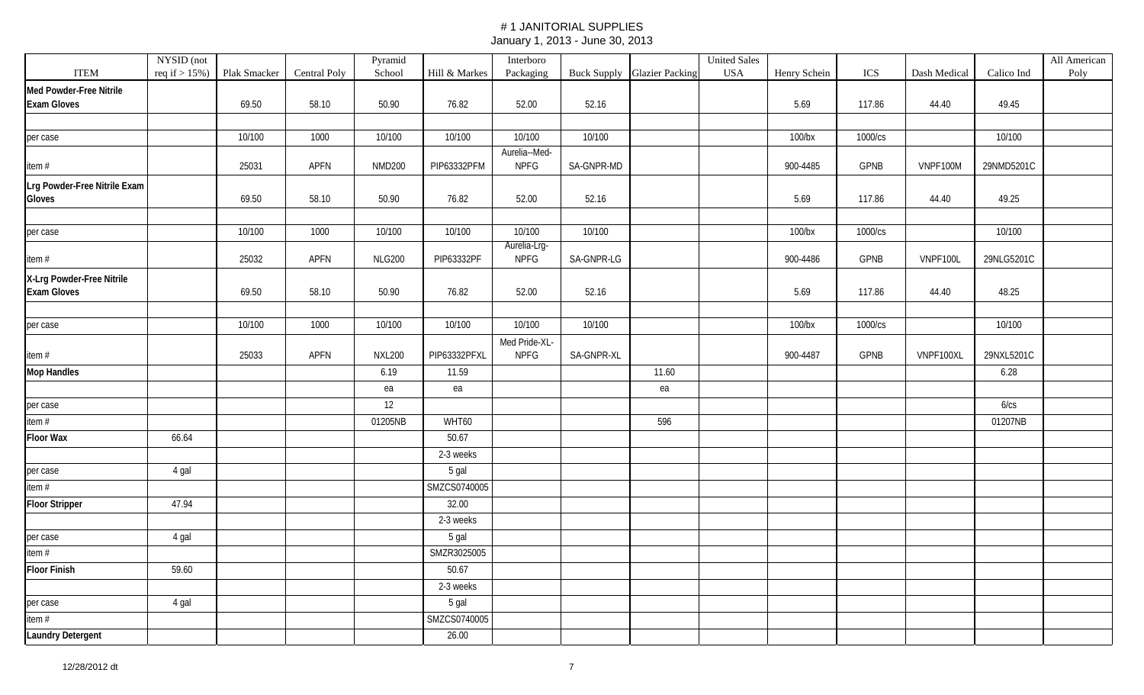|                                                 | NYSID (not |                                |                     | Pyramid       |               | Interboro                    |            |                             | <b>United Sales</b> |              |             |              |            | All American |
|-------------------------------------------------|------------|--------------------------------|---------------------|---------------|---------------|------------------------------|------------|-----------------------------|---------------------|--------------|-------------|--------------|------------|--------------|
| <b>ITEM</b>                                     |            | req if $> 15\%$ ) Plak Smacker | <b>Central Poly</b> | School        | Hill & Markes | Packaging                    |            | Buck Supply Glazier Packing | <b>USA</b>          | Henry Schein | ICS         | Dash Medical | Calico Ind | Poly         |
| Med Powder-Free Nitrile                         |            |                                |                     |               |               |                              |            |                             |                     |              |             |              |            |              |
| <b>Exam Gloves</b>                              |            | 69.50                          | 58.10               | 50.90         | 76.82         | 52.00                        | 52.16      |                             |                     | 5.69         | 117.86      | 44.40        | 49.45      |              |
|                                                 |            |                                |                     |               |               |                              |            |                             |                     |              |             |              |            |              |
| per case                                        |            | 10/100                         | 1000                | 10/100        | 10/100        | 10/100                       | 10/100     |                             |                     | $100$ /bx    | 1000/cs     |              | 10/100     |              |
| item #                                          |            | 25031                          | <b>APFN</b>         | <b>NMD200</b> | PIP63332PFM   | Aurelia--Med-<br><b>NPFG</b> | SA-GNPR-MD |                             |                     | 900-4485     | GPNB        | VNPF100M     | 29NMD5201C |              |
| Lrg Powder-Free Nitrile Exam<br>Gloves          |            | 69.50                          | 58.10               | 50.90         | 76.82         | 52.00                        | 52.16      |                             |                     | 5.69         | 117.86      | 44.40        | 49.25      |              |
|                                                 |            |                                |                     |               |               |                              |            |                             |                     |              |             |              |            |              |
| per case                                        |            | 10/100                         | 1000                | 10/100        | 10/100        | 10/100                       | 10/100     |                             |                     | $100$ /bx    | 1000/cs     |              | 10/100     |              |
| item #                                          |            | 25032                          | APFN                | <b>NLG200</b> | PIP63332PF    | Aurelia-Lrg-<br><b>NPFG</b>  | SA-GNPR-LG |                             |                     | 900-4486     | <b>GPNB</b> | VNPF100L     | 29NLG5201C |              |
| X-Lrg Powder-Free Nitrile<br><b>Exam Gloves</b> |            | 69.50                          | 58.10               | 50.90         | 76.82         | 52.00                        | 52.16      |                             |                     | 5.69         | 117.86      | 44.40        | 48.25      |              |
|                                                 |            |                                |                     |               |               |                              |            |                             |                     |              |             |              |            |              |
| per case                                        |            | 10/100                         | 1000                | 10/100        | 10/100        | 10/100                       | 10/100     |                             |                     | $100$ /bx    | 1000/cs     |              | 10/100     |              |
| item $#$                                        |            | 25033                          | APFN                | <b>NXL200</b> | PIP63332PFXL  | Med Pride-XL-<br><b>NPFG</b> | SA-GNPR-XL |                             |                     | 900-4487     | <b>GPNB</b> | VNPF100XL    | 29NXL5201C |              |
| <b>Mop Handles</b>                              |            |                                |                     | 6.19          | 11.59         |                              |            | 11.60                       |                     |              |             |              | 6.28       |              |
|                                                 |            |                                |                     | ea            | ea            |                              |            | ea                          |                     |              |             |              |            |              |
| per case                                        |            |                                |                     | 12            |               |                              |            |                             |                     |              |             |              | 6/cs       |              |
| item #                                          |            |                                |                     | 01205NB       | WHT60         |                              |            | 596                         |                     |              |             |              | 01207NB    |              |
| <b>Floor Wax</b>                                | 66.64      |                                |                     |               | 50.67         |                              |            |                             |                     |              |             |              |            |              |
|                                                 |            |                                |                     |               | 2-3 weeks     |                              |            |                             |                     |              |             |              |            |              |
| per case                                        | 4 gal      |                                |                     |               | 5 gal         |                              |            |                             |                     |              |             |              |            |              |
| item #                                          |            |                                |                     |               | SMZCS0740005  |                              |            |                             |                     |              |             |              |            |              |
| <b>Floor Stripper</b>                           | 47.94      |                                |                     |               | 32.00         |                              |            |                             |                     |              |             |              |            |              |
|                                                 |            |                                |                     |               | 2-3 weeks     |                              |            |                             |                     |              |             |              |            |              |
| per case                                        | 4 gal      |                                |                     |               | 5 gal         |                              |            |                             |                     |              |             |              |            |              |
| item #                                          |            |                                |                     |               | SMZR3025005   |                              |            |                             |                     |              |             |              |            |              |
| <b>Floor Finish</b>                             | 59.60      |                                |                     |               | 50.67         |                              |            |                             |                     |              |             |              |            |              |
|                                                 |            |                                |                     |               | 2-3 weeks     |                              |            |                             |                     |              |             |              |            |              |
| per case                                        | 4 gal      |                                |                     |               | 5 gal         |                              |            |                             |                     |              |             |              |            |              |
| item#                                           |            |                                |                     |               | SMZCS0740005  |                              |            |                             |                     |              |             |              |            |              |
| <b>Laundry Detergent</b>                        |            |                                |                     |               | 26.00         |                              |            |                             |                     |              |             |              |            |              |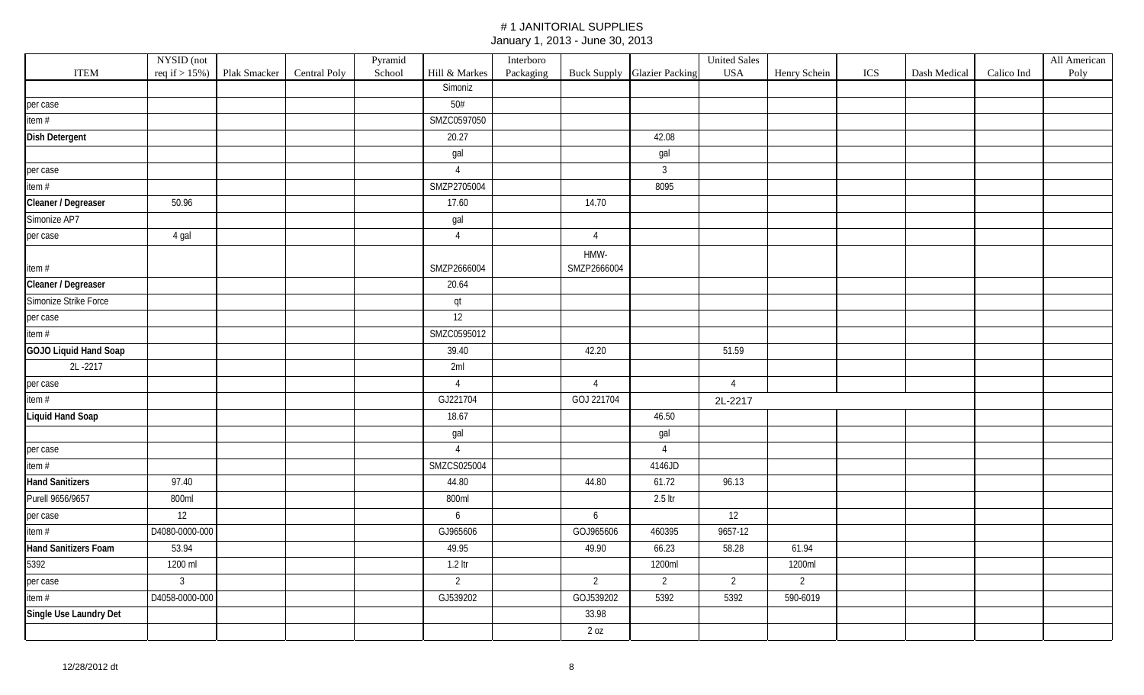|                         | NYSID (not        |              |                     | Pyramid |                | Interboro |                     |                                    | <b>United Sales</b> |                |     |              |            | All American |
|-------------------------|-------------------|--------------|---------------------|---------|----------------|-----------|---------------------|------------------------------------|---------------------|----------------|-----|--------------|------------|--------------|
| <b>ITEM</b>             | req if $> 15\%$ ) | Plak Smacker | <b>Central Poly</b> | School  | Hill & Markes  | Packaging |                     | <b>Buck Supply Glazier Packing</b> | <b>USA</b>          | Henry Schein   | ICS | Dash Medical | Calico Ind | Poly         |
|                         |                   |              |                     |         | Simoniz        |           |                     |                                    |                     |                |     |              |            |              |
| per case                |                   |              |                     |         | $50#$          |           |                     |                                    |                     |                |     |              |            |              |
| item #                  |                   |              |                     |         | SMZC0597050    |           |                     |                                    |                     |                |     |              |            |              |
| <b>Dish Detergent</b>   |                   |              |                     |         | 20.27          |           |                     | 42.08                              |                     |                |     |              |            |              |
|                         |                   |              |                     |         | gal            |           |                     | gal                                |                     |                |     |              |            |              |
| per case                |                   |              |                     |         | $\overline{4}$ |           |                     | $\mathbf{3}$                       |                     |                |     |              |            |              |
| item #                  |                   |              |                     |         | SMZP2705004    |           |                     | 8095                               |                     |                |     |              |            |              |
| Cleaner / Degreaser     | 50.96             |              |                     |         | 17.60          |           | 14.70               |                                    |                     |                |     |              |            |              |
| Simonize AP7            |                   |              |                     |         | gal            |           |                     |                                    |                     |                |     |              |            |              |
| per case                | 4 gal             |              |                     |         | $\overline{4}$ |           | $\overline{4}$      |                                    |                     |                |     |              |            |              |
| item #                  |                   |              |                     |         | SMZP2666004    |           | HMW-<br>SMZP2666004 |                                    |                     |                |     |              |            |              |
| Cleaner / Degreaser     |                   |              |                     |         | 20.64          |           |                     |                                    |                     |                |     |              |            |              |
| Simonize Strike Force   |                   |              |                     |         | qt             |           |                     |                                    |                     |                |     |              |            |              |
| per case                |                   |              |                     |         | 12             |           |                     |                                    |                     |                |     |              |            |              |
| item #                  |                   |              |                     |         | SMZC0595012    |           |                     |                                    |                     |                |     |              |            |              |
| GOJO Liquid Hand Soap   |                   |              |                     |         | 39.40          |           | 42.20               |                                    | 51.59               |                |     |              |            |              |
| 2L-2217                 |                   |              |                     |         | 2ml            |           |                     |                                    |                     |                |     |              |            |              |
| per case                |                   |              |                     |         | $\overline{4}$ |           | $\overline{4}$      |                                    | $\overline{4}$      |                |     |              |            |              |
| item #                  |                   |              |                     |         | GJ221704       |           | GOJ 221704          |                                    | 2L-2217             |                |     |              |            |              |
| <b>Liquid Hand Soap</b> |                   |              |                     |         | 18.67          |           |                     | 46.50                              |                     |                |     |              |            |              |
|                         |                   |              |                     |         | gal            |           |                     | gal                                |                     |                |     |              |            |              |
| per case                |                   |              |                     |         | $\overline{4}$ |           |                     | $\overline{4}$                     |                     |                |     |              |            |              |
| item #                  |                   |              |                     |         | SMZCS025004    |           |                     | 4146JD                             |                     |                |     |              |            |              |
| <b>Hand Sanitizers</b>  | 97.40             |              |                     |         | 44.80          |           | 44.80               | 61.72                              | 96.13               |                |     |              |            |              |
| Purell 9656/9657        | 800ml             |              |                     |         | 800ml          |           |                     | $2.5$ ltr                          |                     |                |     |              |            |              |
| per case                | 12                |              |                     |         | 6              |           | 6                   |                                    | 12                  |                |     |              |            |              |
| item#                   | D4080-0000-000    |              |                     |         | GJ965606       |           | GOJ965606           | 460395                             | 9657-12             |                |     |              |            |              |
| Hand Sanitizers Foam    | 53.94             |              |                     |         | 49.95          |           | 49.90               | 66.23                              | 58.28               | 61.94          |     |              |            |              |
| 5392                    | 1200 ml           |              |                     |         | 1.2 ltr        |           |                     | 1200ml                             |                     | 1200ml         |     |              |            |              |
| per case                | $\overline{3}$    |              |                     |         | $\overline{2}$ |           | $\overline{2}$      | $\overline{2}$                     | $\overline{2}$      | $\overline{2}$ |     |              |            |              |
| item #                  | D4058-0000-000    |              |                     |         | GJ539202       |           | GOJ539202           | 5392                               | 5392                | 590-6019       |     |              |            |              |
| Single Use Laundry Det  |                   |              |                     |         |                |           | 33.98               |                                    |                     |                |     |              |            |              |
|                         |                   |              |                     |         |                |           | 2 oz                |                                    |                     |                |     |              |            |              |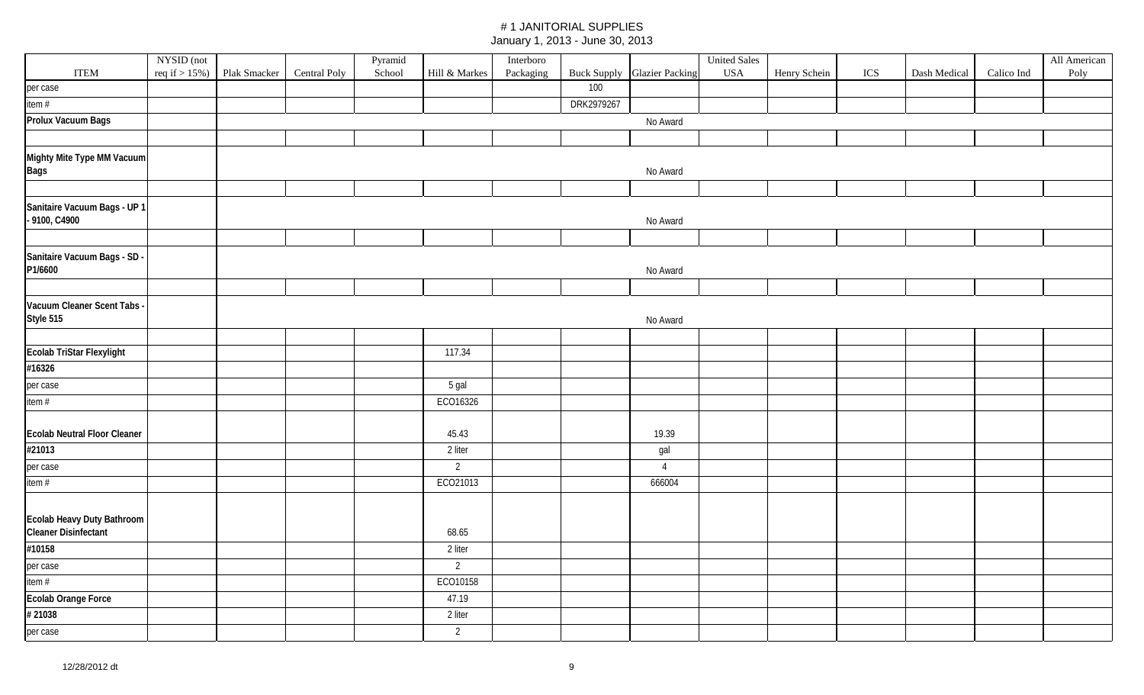|                                                           | NYSID (not        |              |              | Pyramid |                | Interboro |            |                                    | <b>United Sales</b> |              |     |              |            | All American |
|-----------------------------------------------------------|-------------------|--------------|--------------|---------|----------------|-----------|------------|------------------------------------|---------------------|--------------|-----|--------------|------------|--------------|
| <b>ITEM</b>                                               | req if $> 15\%$ ) | Plak Smacker | Central Poly | School  | Hill & Markes  | Packaging |            | <b>Buck Supply Glazier Packing</b> | <b>USA</b>          | Henry Schein | ICS | Dash Medical | Calico Ind | Poly         |
| per case                                                  |                   |              |              |         |                |           | 100        |                                    |                     |              |     |              |            |              |
| item#                                                     |                   |              |              |         |                |           | DRK2979267 |                                    |                     |              |     |              |            |              |
| Prolux Vacuum Bags                                        |                   |              |              |         |                |           |            | No Award                           |                     |              |     |              |            |              |
|                                                           |                   |              |              |         |                |           |            |                                    |                     |              |     |              |            |              |
| Mighty Mite Type MM Vacuum<br><b>Bags</b>                 |                   |              |              |         |                |           |            | No Award                           |                     |              |     |              |            |              |
|                                                           |                   |              |              |         |                |           |            |                                    |                     |              |     |              |            |              |
| Sanitaire Vacuum Bags - UP 1<br>- 9100, C4900             |                   |              |              |         |                |           |            | No Award                           |                     |              |     |              |            |              |
|                                                           |                   |              |              |         |                |           |            |                                    |                     |              |     |              |            |              |
| Sanitaire Vacuum Bags - SD<br>P1/6600                     |                   |              |              |         |                |           |            | No Award                           |                     |              |     |              |            |              |
|                                                           |                   |              |              |         |                |           |            |                                    |                     |              |     |              |            |              |
| Vacuum Cleaner Scent Tabs<br>Style 515                    |                   |              |              |         |                |           |            | No Award                           |                     |              |     |              |            |              |
|                                                           |                   |              |              |         |                |           |            |                                    |                     |              |     |              |            |              |
| Ecolab TriStar Flexylight                                 |                   |              |              |         | 117.34         |           |            |                                    |                     |              |     |              |            |              |
| #16326                                                    |                   |              |              |         |                |           |            |                                    |                     |              |     |              |            |              |
| per case                                                  |                   |              |              |         | 5 gal          |           |            |                                    |                     |              |     |              |            |              |
| item#                                                     |                   |              |              |         | ECO16326       |           |            |                                    |                     |              |     |              |            |              |
|                                                           |                   |              |              |         |                |           |            |                                    |                     |              |     |              |            |              |
| <b>Ecolab Neutral Floor Cleaner</b>                       |                   |              |              |         | 45.43          |           |            | 19.39                              |                     |              |     |              |            |              |
| #21013                                                    |                   |              |              |         | 2 liter        |           |            | gal                                |                     |              |     |              |            |              |
| per case                                                  |                   |              |              |         | $\overline{2}$ |           |            | $\overline{4}$                     |                     |              |     |              |            |              |
| item#                                                     |                   |              |              |         | ECO21013       |           |            | 666004                             |                     |              |     |              |            |              |
| Ecolab Heavy Duty Bathroom<br><b>Cleaner Disinfectant</b> |                   |              |              |         | 68.65          |           |            |                                    |                     |              |     |              |            |              |
| #10158                                                    |                   |              |              |         | 2 liter        |           |            |                                    |                     |              |     |              |            |              |
| per case                                                  |                   |              |              |         | $\overline{2}$ |           |            |                                    |                     |              |     |              |            |              |
| item #                                                    |                   |              |              |         | ECO10158       |           |            |                                    |                     |              |     |              |            |              |
| Ecolab Orange Force                                       |                   |              |              |         | 47.19          |           |            |                                    |                     |              |     |              |            |              |
| #21038                                                    |                   |              |              |         | 2 liter        |           |            |                                    |                     |              |     |              |            |              |
| per case                                                  |                   |              |              |         | 2              |           |            |                                    |                     |              |     |              |            |              |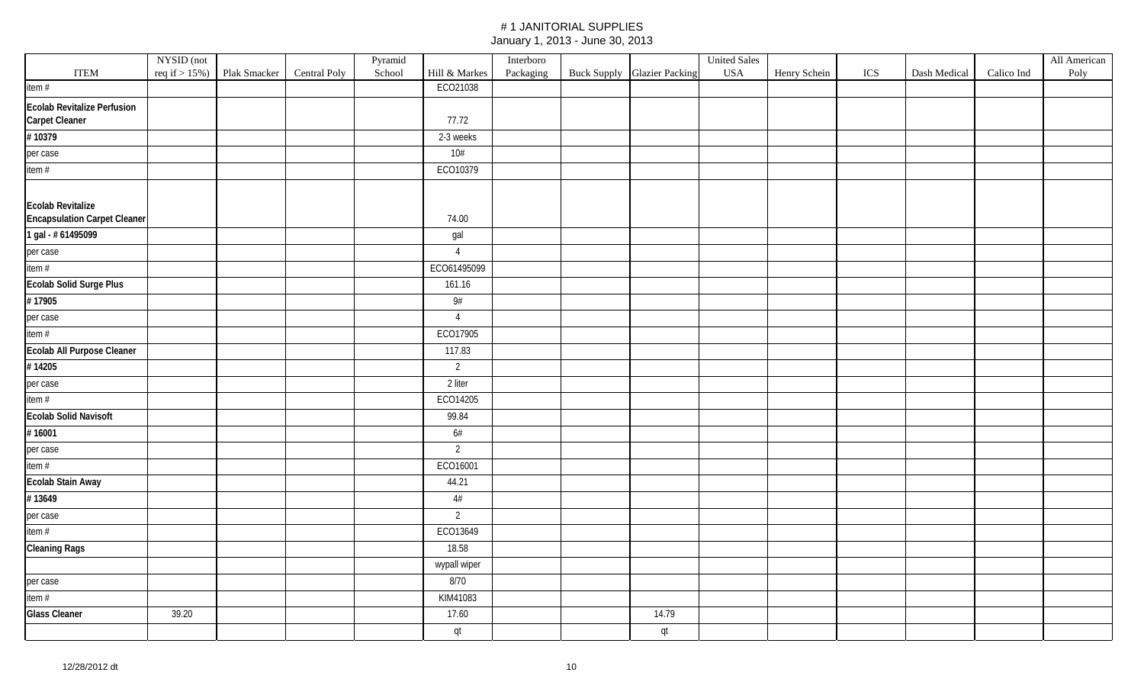|                                                                 |            |                                 |                     | Pyramid |                | Interboro |                                    | <b>United Sales</b> |              |     |              |            | All American |
|-----------------------------------------------------------------|------------|---------------------------------|---------------------|---------|----------------|-----------|------------------------------------|---------------------|--------------|-----|--------------|------------|--------------|
| <b>ITEM</b>                                                     | NYSID (not | $req$ if $> 15\%)$ Plak Smacker | <b>Central Poly</b> | School  | Hill & Markes  | Packaging | <b>Buck Supply Glazier Packing</b> | $_{\mathrm{USA}}$   | Henry Schein | ICS | Dash Medical | Calico Ind | Poly         |
| item #                                                          |            |                                 |                     |         | ECO21038       |           |                                    |                     |              |     |              |            |              |
| <b>Ecolab Revitalize Perfusion</b>                              |            |                                 |                     |         |                |           |                                    |                     |              |     |              |            |              |
| Carpet Cleaner                                                  |            |                                 |                     |         | 77.72          |           |                                    |                     |              |     |              |            |              |
| #10379                                                          |            |                                 |                     |         | 2-3 weeks      |           |                                    |                     |              |     |              |            |              |
| per case                                                        |            |                                 |                     |         | 10#            |           |                                    |                     |              |     |              |            |              |
| item #                                                          |            |                                 |                     |         | ECO10379       |           |                                    |                     |              |     |              |            |              |
| <b>Ecolab Revitalize</b><br><b>Encapsulation Carpet Cleaner</b> |            |                                 |                     |         | 74.00          |           |                                    |                     |              |     |              |            |              |
| 1 gal - # 61495099                                              |            |                                 |                     |         | gal            |           |                                    |                     |              |     |              |            |              |
| per case                                                        |            |                                 |                     |         | $\overline{4}$ |           |                                    |                     |              |     |              |            |              |
| item #                                                          |            |                                 |                     |         | ECO61495099    |           |                                    |                     |              |     |              |            |              |
| Ecolab Solid Surge Plus                                         |            |                                 |                     |         | 161.16         |           |                                    |                     |              |     |              |            |              |
| #17905                                                          |            |                                 |                     |         | 9#             |           |                                    |                     |              |     |              |            |              |
| per case                                                        |            |                                 |                     |         | $\overline{4}$ |           |                                    |                     |              |     |              |            |              |
| item #                                                          |            |                                 |                     |         | ECO17905       |           |                                    |                     |              |     |              |            |              |
| Ecolab All Purpose Cleaner                                      |            |                                 |                     |         | 117.83         |           |                                    |                     |              |     |              |            |              |
| #14205                                                          |            |                                 |                     |         | $\overline{2}$ |           |                                    |                     |              |     |              |            |              |
| per case                                                        |            |                                 |                     |         | 2 liter        |           |                                    |                     |              |     |              |            |              |
| item #                                                          |            |                                 |                     |         | ECO14205       |           |                                    |                     |              |     |              |            |              |
| <b>Ecolab Solid Navisoft</b>                                    |            |                                 |                     |         | 99.84          |           |                                    |                     |              |     |              |            |              |
| #16001                                                          |            |                                 |                     |         | 6#             |           |                                    |                     |              |     |              |            |              |
| per case                                                        |            |                                 |                     |         | $\overline{2}$ |           |                                    |                     |              |     |              |            |              |
| item #                                                          |            |                                 |                     |         | ECO16001       |           |                                    |                     |              |     |              |            |              |
| Ecolab Stain Away                                               |            |                                 |                     |         | 44.21          |           |                                    |                     |              |     |              |            |              |
| #13649                                                          |            |                                 |                     |         | 4#             |           |                                    |                     |              |     |              |            |              |
| per case                                                        |            |                                 |                     |         | $\overline{2}$ |           |                                    |                     |              |     |              |            |              |
| item #                                                          |            |                                 |                     |         | ECO13649       |           |                                    |                     |              |     |              |            |              |
| <b>Cleaning Rags</b>                                            |            |                                 |                     |         | 18.58          |           |                                    |                     |              |     |              |            |              |
|                                                                 |            |                                 |                     |         | wypall wiper   |           |                                    |                     |              |     |              |            |              |
| per case                                                        |            |                                 |                     |         | 8/70           |           |                                    |                     |              |     |              |            |              |
| item #                                                          |            |                                 |                     |         | KIM41083       |           |                                    |                     |              |     |              |            |              |
| <b>Glass Cleaner</b>                                            | 39.20      |                                 |                     |         | 17.60          |           | 14.79                              |                     |              |     |              |            |              |
|                                                                 |            |                                 |                     |         | qt             |           | qt                                 |                     |              |     |              |            |              |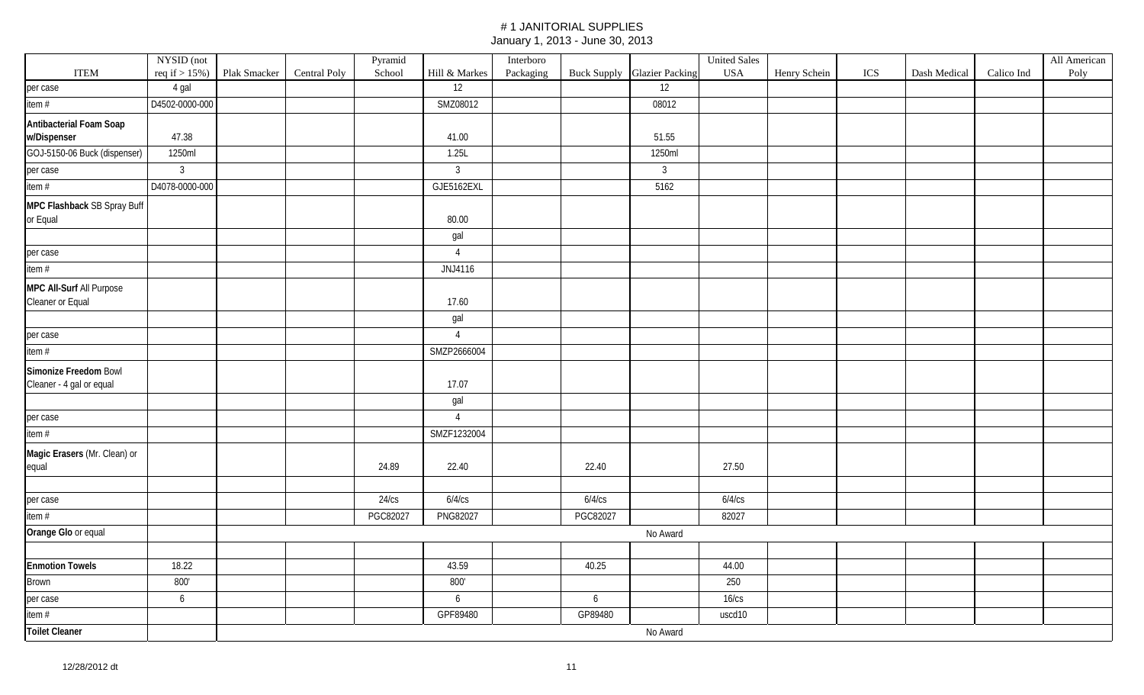|                              | NYSID (not        |              |              | Pyramid  |                | Interboro |          |                                    | <b>United Sales</b> |              |     |              |            | All American |
|------------------------------|-------------------|--------------|--------------|----------|----------------|-----------|----------|------------------------------------|---------------------|--------------|-----|--------------|------------|--------------|
| <b>ITEM</b>                  | req if $> 15\%$ ) | Plak Smacker | Central Poly | School   | Hill & Markes  | Packaging |          | <b>Buck Supply</b> Glazier Packing | <b>USA</b>          | Henry Schein | ICS | Dash Medical | Calico Ind | Poly         |
| per case                     | 4 gal             |              |              |          | 12             |           |          | 12                                 |                     |              |     |              |            |              |
| item #                       | D4502-0000-000    |              |              |          | SMZ08012       |           |          | 08012                              |                     |              |     |              |            |              |
| Antibacterial Foam Soap      |                   |              |              |          |                |           |          |                                    |                     |              |     |              |            |              |
| w/Dispenser                  | 47.38             |              |              |          | 41.00          |           |          | 51.55                              |                     |              |     |              |            |              |
| GOJ-5150-06 Buck (dispenser) | 1250ml            |              |              |          | 1.25L          |           |          | 1250ml                             |                     |              |     |              |            |              |
| per case                     | $\mathbf{3}$      |              |              |          | $\overline{3}$ |           |          | $\mathbf{3}$                       |                     |              |     |              |            |              |
| item#                        | D4078-0000-000    |              |              |          | GJE5162EXL     |           |          | 5162                               |                     |              |     |              |            |              |
| MPC Flashback SB Spray Buff  |                   |              |              |          |                |           |          |                                    |                     |              |     |              |            |              |
| or Equal                     |                   |              |              |          | 80.00          |           |          |                                    |                     |              |     |              |            |              |
|                              |                   |              |              |          | gal            |           |          |                                    |                     |              |     |              |            |              |
| per case                     |                   |              |              |          | $\overline{4}$ |           |          |                                    |                     |              |     |              |            |              |
| item #                       |                   |              |              |          | JNJ4116        |           |          |                                    |                     |              |     |              |            |              |
| MPC All-Surf All Purpose     |                   |              |              |          |                |           |          |                                    |                     |              |     |              |            |              |
| Cleaner or Equal             |                   |              |              |          | 17.60          |           |          |                                    |                     |              |     |              |            |              |
|                              |                   |              |              |          | gal            |           |          |                                    |                     |              |     |              |            |              |
| per case                     |                   |              |              |          | $\overline{4}$ |           |          |                                    |                     |              |     |              |            |              |
| item #                       |                   |              |              |          | SMZP2666004    |           |          |                                    |                     |              |     |              |            |              |
| Simonize Freedom Bowl        |                   |              |              |          |                |           |          |                                    |                     |              |     |              |            |              |
| Cleaner - 4 gal or equal     |                   |              |              |          | 17.07          |           |          |                                    |                     |              |     |              |            |              |
|                              |                   |              |              |          | gal            |           |          |                                    |                     |              |     |              |            |              |
| per case                     |                   |              |              |          | $\overline{4}$ |           |          |                                    |                     |              |     |              |            |              |
| item $#$                     |                   |              |              |          | SMZF1232004    |           |          |                                    |                     |              |     |              |            |              |
| Magic Erasers (Mr. Clean) or |                   |              |              |          |                |           |          |                                    |                     |              |     |              |            |              |
| equal                        |                   |              |              | 24.89    | 22.40          |           | 22.40    |                                    | 27.50               |              |     |              |            |              |
|                              |                   |              |              |          |                |           |          |                                    |                     |              |     |              |            |              |
| per case                     |                   |              |              | 24/cs    | 6/4/cs         |           | 6/4/cs   |                                    | 6/4/cs              |              |     |              |            |              |
| item #                       |                   |              |              | PGC82027 | PNG82027       |           | PGC82027 |                                    | 82027               |              |     |              |            |              |
| Orange Glo or equal          |                   |              |              |          |                |           |          | No Award                           |                     |              |     |              |            |              |
|                              |                   |              |              |          |                |           |          |                                    |                     |              |     |              |            |              |
| <b>Enmotion Towels</b>       | 18.22             |              |              |          | 43.59          |           | 40.25    |                                    | 44.00               |              |     |              |            |              |
| Brown                        | 800'              |              |              |          | 800'           |           |          |                                    | 250                 |              |     |              |            |              |
| per case                     | 6                 |              |              |          | 6              |           | 6        |                                    | $16$ / $cs$         |              |     |              |            |              |
| item #                       |                   |              |              |          | GPF89480       |           | GP89480  |                                    | uscd10              |              |     |              |            |              |
| <b>Toilet Cleaner</b>        |                   |              |              |          |                |           |          | No Award                           |                     |              |     |              |            |              |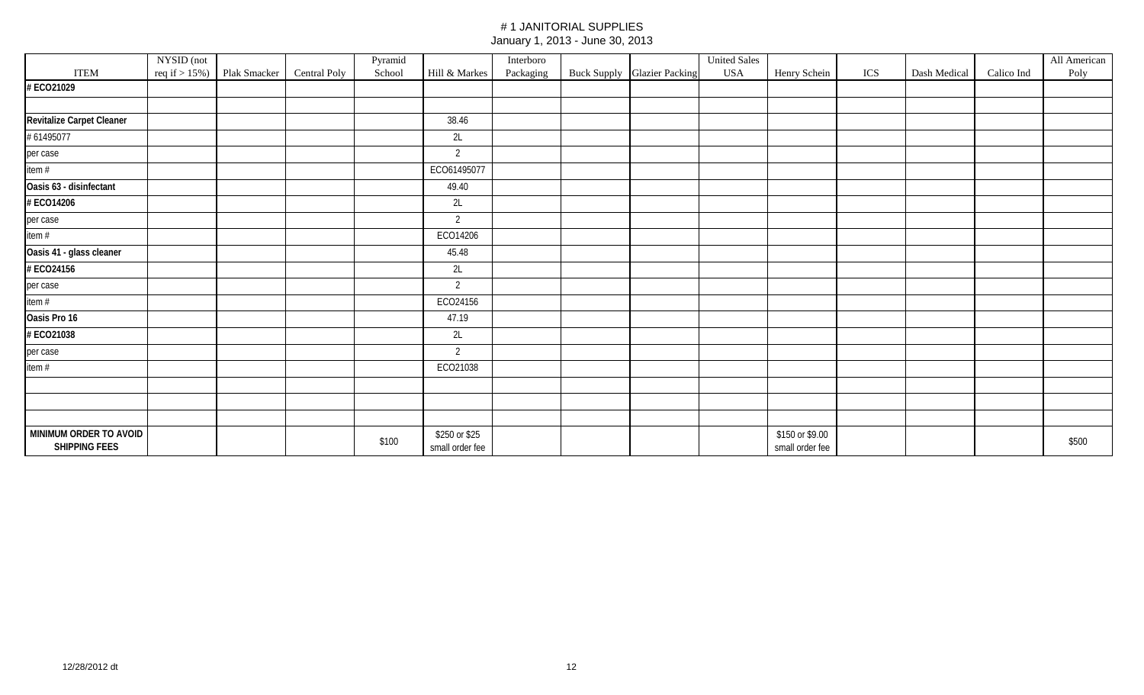|                                                | NYSID (not        |              |              | Pyramid |                                  | Interboro |                             | <b>United Sales</b> |                                    |     |              |            | All American |
|------------------------------------------------|-------------------|--------------|--------------|---------|----------------------------------|-----------|-----------------------------|---------------------|------------------------------------|-----|--------------|------------|--------------|
| <b>ITEM</b>                                    | req if $> 15\%$ ) | Plak Smacker | Central Poly | School  | Hill & Markes                    | Packaging | Buck Supply Glazier Packing | <b>USA</b>          | Henry Schein                       | ICS | Dash Medical | Calico Ind | Poly         |
| #ECO21029                                      |                   |              |              |         |                                  |           |                             |                     |                                    |     |              |            |              |
|                                                |                   |              |              |         |                                  |           |                             |                     |                                    |     |              |            |              |
| Revitalize Carpet Cleaner                      |                   |              |              |         | 38.46                            |           |                             |                     |                                    |     |              |            |              |
| #61495077                                      |                   |              |              |         | 2L                               |           |                             |                     |                                    |     |              |            |              |
| per case                                       |                   |              |              |         | 2                                |           |                             |                     |                                    |     |              |            |              |
| item $#$                                       |                   |              |              |         | ECO61495077                      |           |                             |                     |                                    |     |              |            |              |
| Oasis 63 - disinfectant                        |                   |              |              |         | 49.40                            |           |                             |                     |                                    |     |              |            |              |
| # ECO14206                                     |                   |              |              |         | 2L                               |           |                             |                     |                                    |     |              |            |              |
| per case                                       |                   |              |              |         | 2                                |           |                             |                     |                                    |     |              |            |              |
| item #                                         |                   |              |              |         | ECO14206                         |           |                             |                     |                                    |     |              |            |              |
| Oasis 41 - glass cleaner                       |                   |              |              |         | 45.48                            |           |                             |                     |                                    |     |              |            |              |
| # ECO24156                                     |                   |              |              |         | 2L                               |           |                             |                     |                                    |     |              |            |              |
| per case                                       |                   |              |              |         | $\overline{2}$                   |           |                             |                     |                                    |     |              |            |              |
| item #                                         |                   |              |              |         | ECO24156                         |           |                             |                     |                                    |     |              |            |              |
| Oasis Pro 16                                   |                   |              |              |         | 47.19                            |           |                             |                     |                                    |     |              |            |              |
| #ECO21038                                      |                   |              |              |         | 2L                               |           |                             |                     |                                    |     |              |            |              |
| per case                                       |                   |              |              |         | $\overline{2}$                   |           |                             |                     |                                    |     |              |            |              |
| item $#$                                       |                   |              |              |         | ECO21038                         |           |                             |                     |                                    |     |              |            |              |
|                                                |                   |              |              |         |                                  |           |                             |                     |                                    |     |              |            |              |
|                                                |                   |              |              |         |                                  |           |                             |                     |                                    |     |              |            |              |
|                                                |                   |              |              |         |                                  |           |                             |                     |                                    |     |              |            |              |
| MINIMUM ORDER TO AVOID<br><b>SHIPPING FEES</b> |                   |              |              | \$100   | \$250 or \$25<br>small order fee |           |                             |                     | \$150 or \$9.00<br>small order fee |     |              |            | \$500        |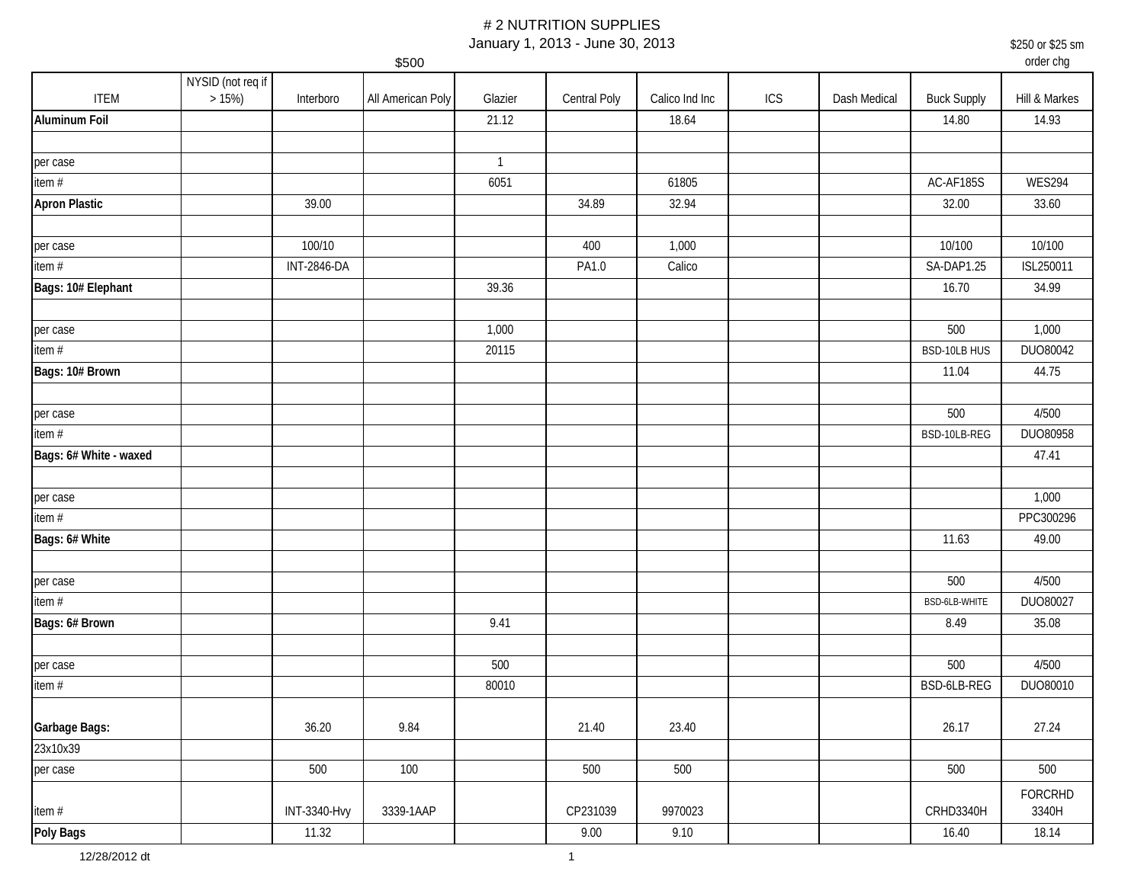January 1, 2013 - June 30, 2013

\$250 or \$25 sm

\$500 order chg ITEM NYSID (not req if  $>15\%$ ) >15%) | Interboro |All American Poly | Glazier | Central Poly | Calico Ind Inc | ICS | Dash Medical | Buck Supply | Hill & Markes **Aluminum Foil** 21.12 18.64 14.80 14.93 per case the contract of the contract of the contract of the contract of the contract of the contract of the contract of the contract of the contract of the contract of the contract of the contract of the contract of the c item # 6051 61805 AC-AF185S WES294 **Apron Plastic** 39.00 34.89 32.94 32.00 33.60 per case 100/10 400 1,000 10/100 10/100 item # INT-2846-DA PA1.0 Calico SA-DAP1.25 ISL250011 **Bags: 10# Elephant | | | 39.36 | 16.70 | 34.99** per case 1,000 1,000 1,000 1,000 1,000 1,000 1,000 1,000 1,000 1,000 1,000 1,000 item # 20115 BSD-10LB HUS DUO80042 **Bags: 10# Brown** 11.04 44.75 per case 500 4/500 item # BSD-10LB-REG DUO80958 **Bags: 6# White - waxed 47.41** per case 1,000 item # PPC300296 **Bags: 6# White** 11.63 49.00 per case 500 4/500 item # BSD-6LB-WHITE DUO80027 **Bags: 6# Brown** 9.41 8.49 35.08 per case 500 500 4/500 item # 80010 BSD-6LB-REG DUO80010 **Garbage Bags:** 36.20 9.84 21.40 23.40 26.17 27.24 23x10x39 per case 500 100 500 500 500 500 item # | INT-3340-Hvy | 3339-1AAP | CP231039 | 9970023 | CRHD3340H FORCRHD 3340H **Poly Bags** 11.32 9.00 9.10 16.40 18.14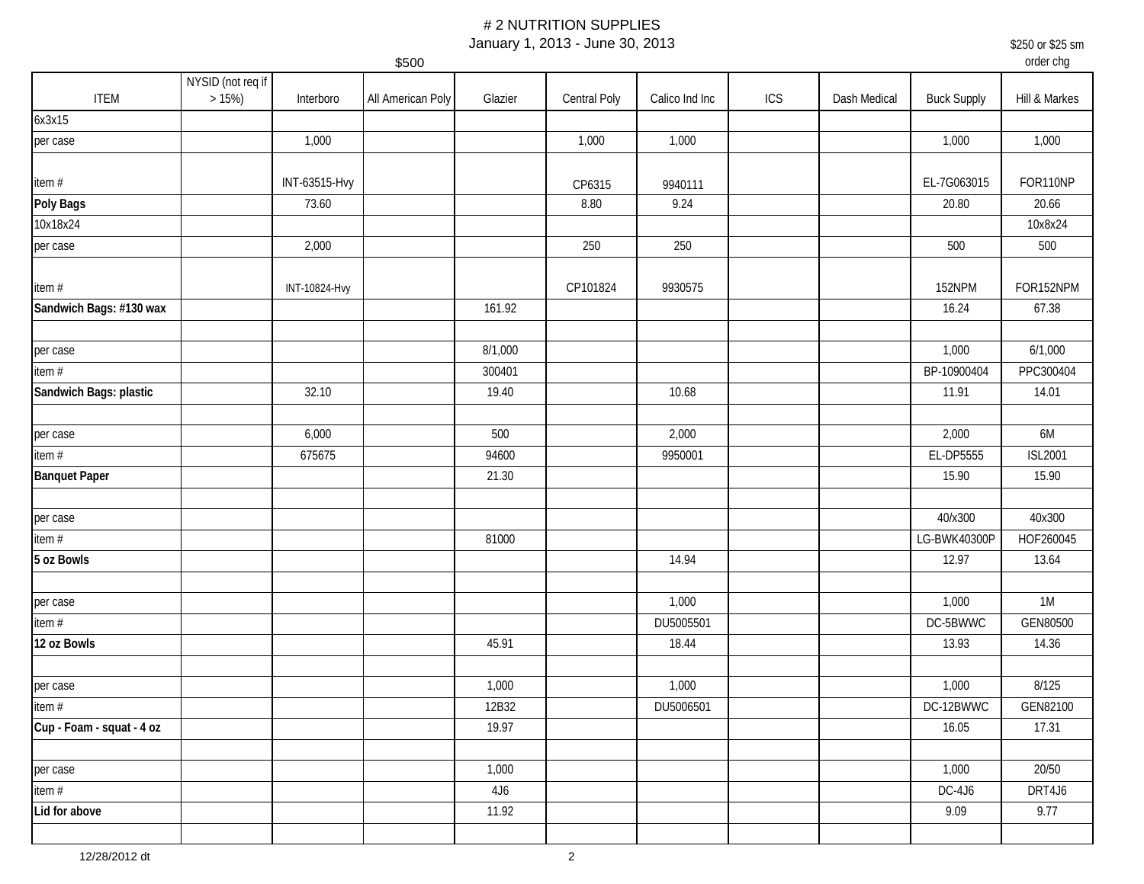January 1, 2013 - June 30, 2013

\$250 or \$25 sm

order chg

|                           |                               |               | \$500             |         |              |                |     |              |                    | order chg      |
|---------------------------|-------------------------------|---------------|-------------------|---------|--------------|----------------|-----|--------------|--------------------|----------------|
| <b>ITEM</b>               | NYSID (not req if<br>$>15\%)$ | Interboro     | All American Poly | Glazier | Central Poly | Calico Ind Inc | ICS | Dash Medical | <b>Buck Supply</b> | Hill & Markes  |
| 6x3x15                    |                               |               |                   |         |              |                |     |              |                    |                |
| per case                  |                               | 1,000         |                   |         | 1,000        | 1,000          |     |              | 1,000              | 1,000          |
| item#                     |                               | INT-63515-Hvy |                   |         | CP6315       | 9940111        |     |              | EL-7G063015        | FOR110NP       |
| Poly Bags                 |                               | 73.60         |                   |         | 8.80         | 9.24           |     |              | 20.80              | 20.66          |
| 10x18x24                  |                               |               |                   |         |              |                |     |              |                    | 10x8x24        |
| per case                  |                               | 2,000         |                   |         | 250          | 250            |     |              | 500                | 500            |
| item#                     |                               | INT-10824-Hvy |                   |         | CP101824     | 9930575        |     |              | 152NPM             | FOR152NPM      |
| Sandwich Bags: #130 wax   |                               |               |                   | 161.92  |              |                |     |              | 16.24              | 67.38          |
|                           |                               |               |                   |         |              |                |     |              |                    |                |
| per case                  |                               |               |                   | 8/1,000 |              |                |     |              | 1,000              | 6/1,000        |
| item $#$                  |                               |               |                   | 300401  |              |                |     |              | BP-10900404        | PPC300404      |
| Sandwich Bags: plastic    |                               | 32.10         |                   | 19.40   |              | 10.68          |     |              | 11.91              | 14.01          |
|                           |                               |               |                   |         |              |                |     |              |                    |                |
| per case                  |                               | 6,000         |                   | 500     |              | 2,000          |     |              | 2,000              | 6M             |
| item #                    |                               | 675675        |                   | 94600   |              | 9950001        |     |              | EL-DP5555          | <b>ISL2001</b> |
| <b>Banquet Paper</b>      |                               |               |                   | 21.30   |              |                |     |              | 15.90              | 15.90          |
|                           |                               |               |                   |         |              |                |     |              |                    |                |
| per case                  |                               |               |                   |         |              |                |     |              | 40/x300            | 40x300         |
| item $#$                  |                               |               |                   | 81000   |              |                |     |              | LG-BWK40300P       | HOF260045      |
| 5 oz Bowls                |                               |               |                   |         |              | 14.94          |     |              | 12.97              | 13.64          |
| per case                  |                               |               |                   |         |              | 1,000          |     |              | 1,000              | 1M             |
| item#                     |                               |               |                   |         |              | DU5005501      |     |              | DC-5BWWC           | GEN80500       |
| 12 oz Bowls               |                               |               |                   | 45.91   |              | 18.44          |     |              | 13.93              | 14.36          |
|                           |                               |               |                   |         |              |                |     |              |                    |                |
| per case                  |                               |               |                   | 1,000   |              | 1,000          |     |              | 1,000              | 8/125          |
| item#                     |                               |               |                   | 12B32   |              | DU5006501      |     |              | DC-12BWWC          | GEN82100       |
| Cup - Foam - squat - 4 oz |                               |               |                   | 19.97   |              |                |     |              | 16.05              | 17.31          |
|                           |                               |               |                   |         |              |                |     |              |                    |                |
| per case                  |                               |               |                   | 1,000   |              |                |     |              | 1,000              | 20/50          |
| item #                    |                               |               |                   | 4J6     |              |                |     |              | DC-4J6             | DRT4J6         |
| Lid for above             |                               |               |                   | 11.92   |              |                |     |              | 9.09               | 9.77           |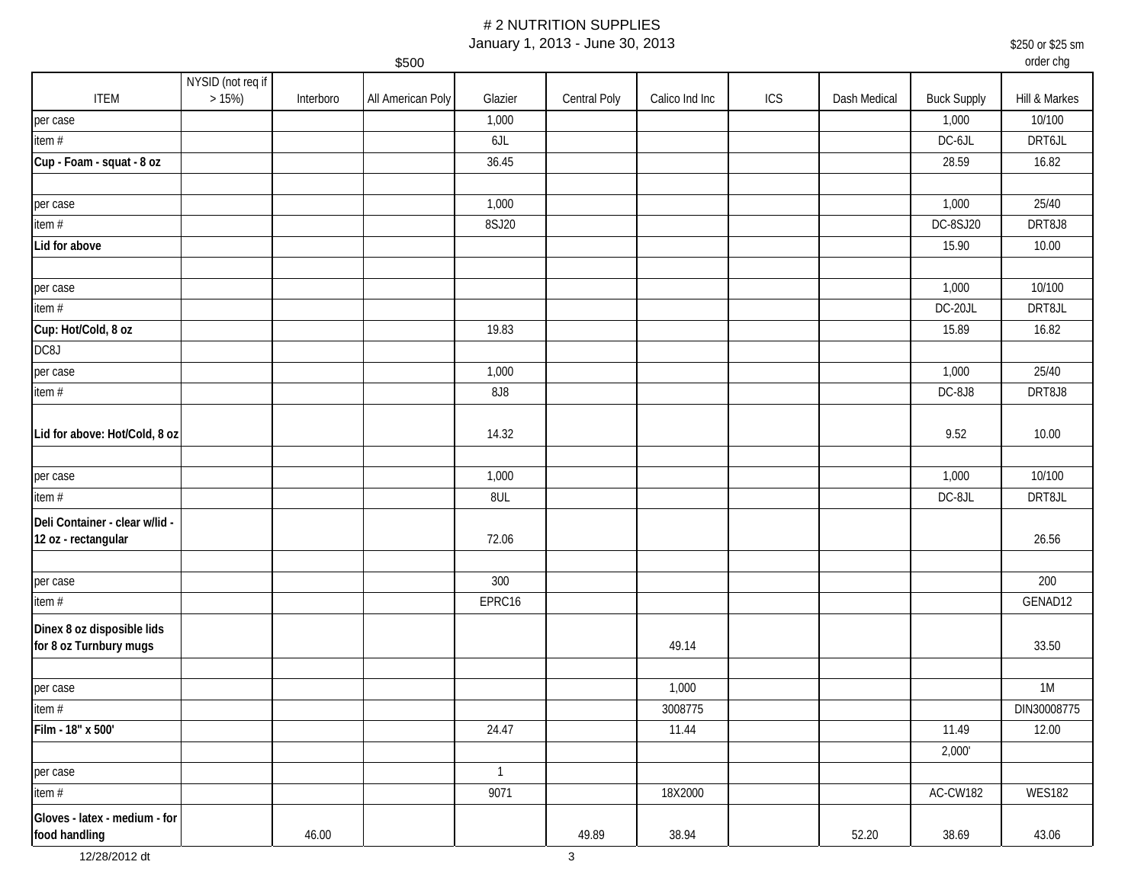January 1, 2013 - June 30, 2013

\$250 or \$25 sm

|                                                       |                   |           | \$500             |              |              |                |     |              |                    | order chg     |
|-------------------------------------------------------|-------------------|-----------|-------------------|--------------|--------------|----------------|-----|--------------|--------------------|---------------|
|                                                       | NYSID (not req if |           |                   |              |              |                |     |              |                    |               |
| <b>ITEM</b>                                           | $>15\%)$          | Interboro | All American Poly | Glazier      | Central Poly | Calico Ind Inc | ICS | Dash Medical | <b>Buck Supply</b> | Hill & Markes |
| per case                                              |                   |           |                   | 1,000        |              |                |     |              | 1,000              | 10/100        |
| item#                                                 |                   |           |                   | 6JL          |              |                |     |              | $DC-6JL$           | DRT6JL        |
| Cup - Foam - squat - 8 oz                             |                   |           |                   | 36.45        |              |                |     |              | 28.59              | 16.82         |
| per case                                              |                   |           |                   | 1,000        |              |                |     |              | 1,000              | 25/40         |
| item#                                                 |                   |           |                   | 8SJ20        |              |                |     |              | DC-8SJ20           | DRT8J8        |
| Lid for above                                         |                   |           |                   |              |              |                |     |              | 15.90              | 10.00         |
|                                                       |                   |           |                   |              |              |                |     |              |                    |               |
| per case                                              |                   |           |                   |              |              |                |     |              | 1,000              | 10/100        |
| item $#$                                              |                   |           |                   |              |              |                |     |              | DC-20JL            | DRT8JL        |
| Cup: Hot/Cold, 8 oz                                   |                   |           |                   | 19.83        |              |                |     |              | 15.89              | 16.82         |
| DC8J                                                  |                   |           |                   |              |              |                |     |              |                    |               |
| per case                                              |                   |           |                   | 1,000        |              |                |     |              | 1,000              | 25/40         |
| item#                                                 |                   |           |                   | 8J8          |              |                |     |              | DC-8J8             | DRT8J8        |
| Lid for above: Hot/Cold, 8 oz                         |                   |           |                   | 14.32        |              |                |     |              | 9.52               | 10.00         |
| per case                                              |                   |           |                   | 1,000        |              |                |     |              | 1,000              | 10/100        |
| item#                                                 |                   |           |                   | 8UL          |              |                |     |              | DC-8JL             | DRT8JL        |
| Deli Container - clear w/lid -<br>12 oz - rectangular |                   |           |                   | 72.06        |              |                |     |              |                    | 26.56         |
| per case                                              |                   |           |                   | 300          |              |                |     |              |                    | 200           |
| item $#$                                              |                   |           |                   | EPRC16       |              |                |     |              |                    | GENAD12       |
| Dinex 8 oz disposible lids<br>for 8 oz Turnbury mugs  |                   |           |                   |              |              | 49.14          |     |              |                    | 33.50         |
| per case                                              |                   |           |                   |              |              | 1,000          |     |              |                    | 1M            |
| item $#$                                              |                   |           |                   |              |              | 3008775        |     |              |                    | DIN30008775   |
| Film - 18" x 500'                                     |                   |           |                   | 24.47        |              | 11.44          |     |              | 11.49              | 12.00         |
|                                                       |                   |           |                   |              |              |                |     |              | 2,000'             |               |
| per case                                              |                   |           |                   | $\mathbf{1}$ |              |                |     |              |                    |               |
| item $#$                                              |                   |           |                   | 9071         |              | 18X2000        |     |              | AC-CW182           | <b>WES182</b> |
| Gloves - latex - medium - for<br>food handling        |                   | 46.00     |                   |              | 49.89        | 38.94          |     | 52.20        | 38.69              | 43.06         |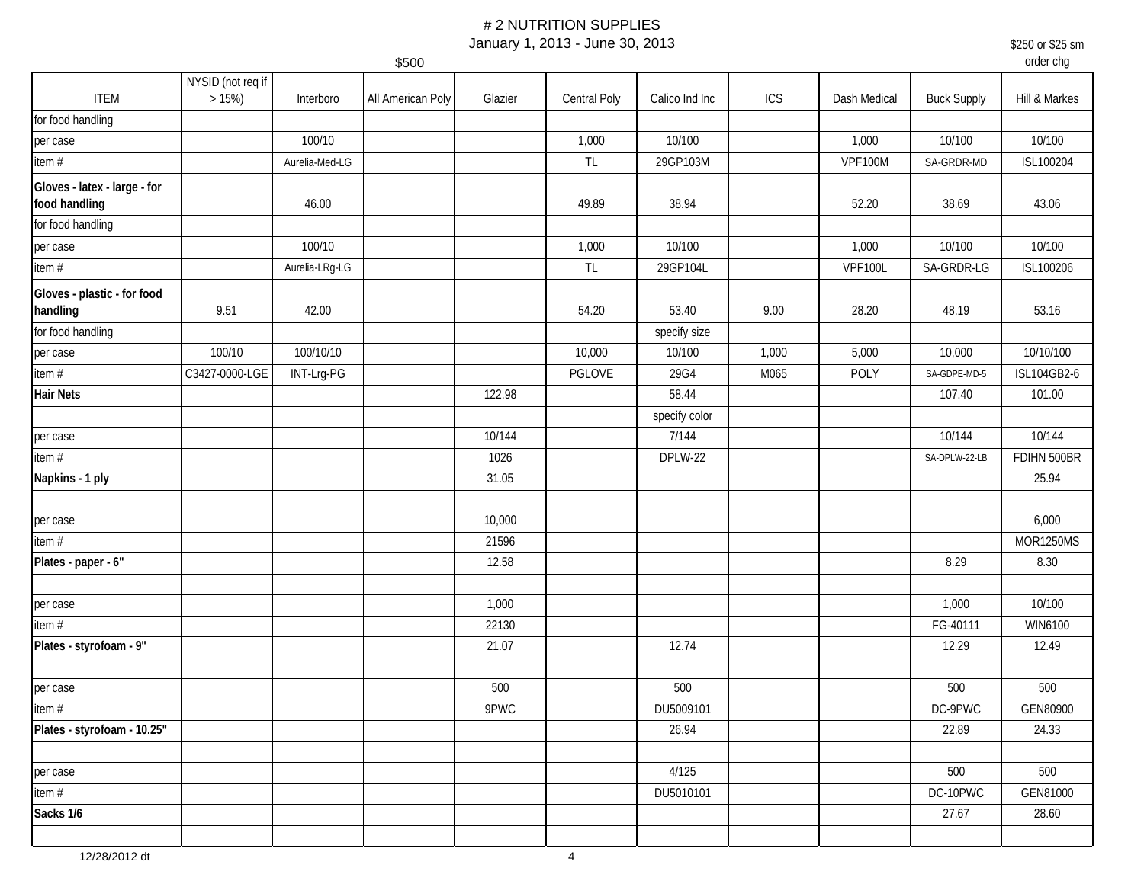January 1, 2013 - June 30, 2013

\$250 or \$25 sm

|                                               |                           |                | \$500             |         |               |                |       |                |                    | order chg     |
|-----------------------------------------------|---------------------------|----------------|-------------------|---------|---------------|----------------|-------|----------------|--------------------|---------------|
| <b>ITEM</b>                                   | NYSID (not req if<br>>15% | Interboro      | All American Poly | Glazier | Central Poly  | Calico Ind Inc | ICS   | Dash Medical   | <b>Buck Supply</b> | Hill & Markes |
| for food handling                             |                           |                |                   |         |               |                |       |                |                    |               |
| per case                                      |                           | 100/10         |                   |         | 1,000         | 10/100         |       | 1,000          | 10/100             | 10/100        |
| item #                                        |                           | Aurelia-Med-LG |                   |         | $\mathsf{TL}$ | 29GP103M       |       | <b>VPF100M</b> | SA-GRDR-MD         | ISL100204     |
| Gloves - latex - large - for<br>food handling |                           | 46.00          |                   |         | 49.89         | 38.94          |       | 52.20          | 38.69              | 43.06         |
| for food handling                             |                           |                |                   |         |               |                |       |                |                    |               |
| per case                                      |                           | 100/10         |                   |         | 1,000         | 10/100         |       | 1,000          | 10/100             | 10/100        |
| item #                                        |                           | Aurelia-LRg-LG |                   |         | $\mathsf{TL}$ | 29GP104L       |       | <b>VPF100L</b> | SA-GRDR-LG         | ISL100206     |
| Gloves - plastic - for food<br>handling       | 9.51                      | 42.00          |                   |         | 54.20         | 53.40          | 9.00  | 28.20          | 48.19              | 53.16         |
| for food handling                             |                           |                |                   |         |               | specify size   |       |                |                    |               |
| per case                                      | 100/10                    | 100/10/10      |                   |         | 10,000        | 10/100         | 1,000 | 5,000          | 10,000             | 10/10/100     |
| item $#$                                      | C3427-0000-LGE            | INT-Lrg-PG     |                   |         | PGLOVE        | 29G4           | M065  | POLY           | SA-GDPE-MD-5       | ISL104GB2-6   |
| <b>Hair Nets</b>                              |                           |                |                   | 122.98  |               | 58.44          |       |                | 107.40             | 101.00        |
|                                               |                           |                |                   |         |               | specify color  |       |                |                    |               |
| per case                                      |                           |                |                   | 10/144  |               | 7/144          |       |                | 10/144             | 10/144        |
| item #                                        |                           |                |                   | 1026    |               | DPLW-22        |       |                | SA-DPLW-22-LB      | FDIHN 500BR   |
| Napkins - 1 ply                               |                           |                |                   | 31.05   |               |                |       |                |                    | 25.94         |
|                                               |                           |                |                   |         |               |                |       |                |                    |               |
| per case                                      |                           |                |                   | 10,000  |               |                |       |                |                    | 6,000         |
| item#                                         |                           |                |                   | 21596   |               |                |       |                |                    | MOR1250MS     |
| Plates - paper - 6"                           |                           |                |                   | 12.58   |               |                |       |                | 8.29               | 8.30          |
|                                               |                           |                |                   |         |               |                |       |                |                    |               |
| per case                                      |                           |                |                   | 1,000   |               |                |       |                | 1,000              | 10/100        |
| item $#$                                      |                           |                |                   | 22130   |               |                |       |                | FG-40111           | WIN6100       |
| Plates - styrofoam - 9"                       |                           |                |                   | 21.07   |               | 12.74          |       |                | 12.29              | 12.49         |
| per case                                      |                           |                |                   | 500     |               | 500            |       |                | 500                | 500           |
| item#                                         |                           |                |                   | 9PWC    |               | DU5009101      |       |                | DC-9PWC            | GEN80900      |
| Plates - styrofoam - 10.25"                   |                           |                |                   |         |               | 26.94          |       |                | 22.89              | 24.33         |
|                                               |                           |                |                   |         |               |                |       |                |                    |               |
| per case                                      |                           |                |                   |         |               | 4/125          |       |                | 500                | 500           |
| item #                                        |                           |                |                   |         |               | DU5010101      |       |                | DC-10PWC           | GEN81000      |
| Sacks 1/6                                     |                           |                |                   |         |               |                |       |                | 27.67              | 28.60         |
|                                               |                           |                |                   |         |               |                |       |                |                    |               |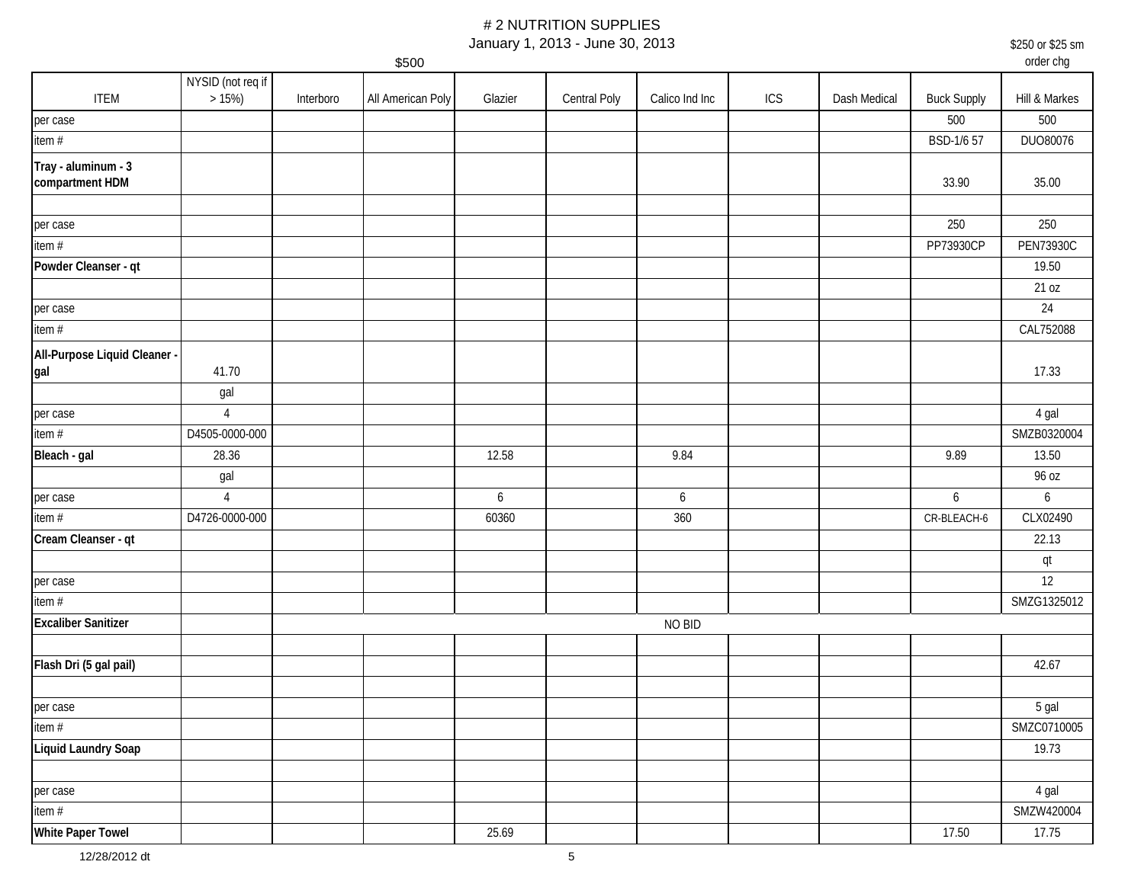January 1, 2013 - June 30, 2013

\$250 or \$25 sm

\$500 order chg ITEM NYSID (not req if  $>15\%$ ) >15%) | Interboro |All American Poly | Glazier | Central Poly | Calico Ind Inc | ICS | Dash Medical | Buck Supply | Hill & Markes per case 500 500 item # BSD-1/6 57 DUO80076 **Tray - aluminum - 3 compartment HDM** 33.90 35.00 per case 250 250 item # PP73930CP PEN73930C **Powder Cleanser - qt** 19.50 21 oz per case the contract of the contract of the contract of the contract of the contract of the contract of the contract of the contract of the contract of the contract of the contract of the contract of the contract of the c item # CAL752088 **All-Purpose Liquid Cleaner gal** 41.70 **17.3**3 gal per case the contract of the case of the case of the case of the case of the case of the case of the case of the case of the case of the case of the case of the case of the case of the case of the case of the case of the c item # D4505-0000-000 SMZB0320004 **Bleach - gal | 28.36 | | 12.58 | 9.84 | | 9.89 | 13.50** gal d'anti-se d'anti-se d'anti-se d'anti-se d'anti-se d'anti-se d'anti-se d'anti-se d'anti-se d'anti-se d'antiper case 4 6 6 6 6 item # D4726-0000-000 60360 360 CR-BLEACH-6 CLX02490 **Cream Cleanser - qt** 22.13 qt per case the contract of the contract of the contract of the contract of the contract of the contract of the contract of the contract of the contract of the contract of the contract of the contract of the contract of the c item # SMZG1325012 **Excaliber Sanitizer Flash Dri (5 gal pail)** 42.67 per case in the case of the case of the case of the case of the case of the case of the case of the case of the case of the case of the case of the case of the case of the case of the case of the case of the case of the ca item # SMZC0710005 **Liquid Laundry Soap** 19.73 per case the contract of the contract of the contract of the contract of the contract of the contract of the contract of the contract of the contract of the contract of the contract of the contract of the contract of the c item # SMZW420004 **White Paper Towel** 25.69 17.50 17.75 NO BID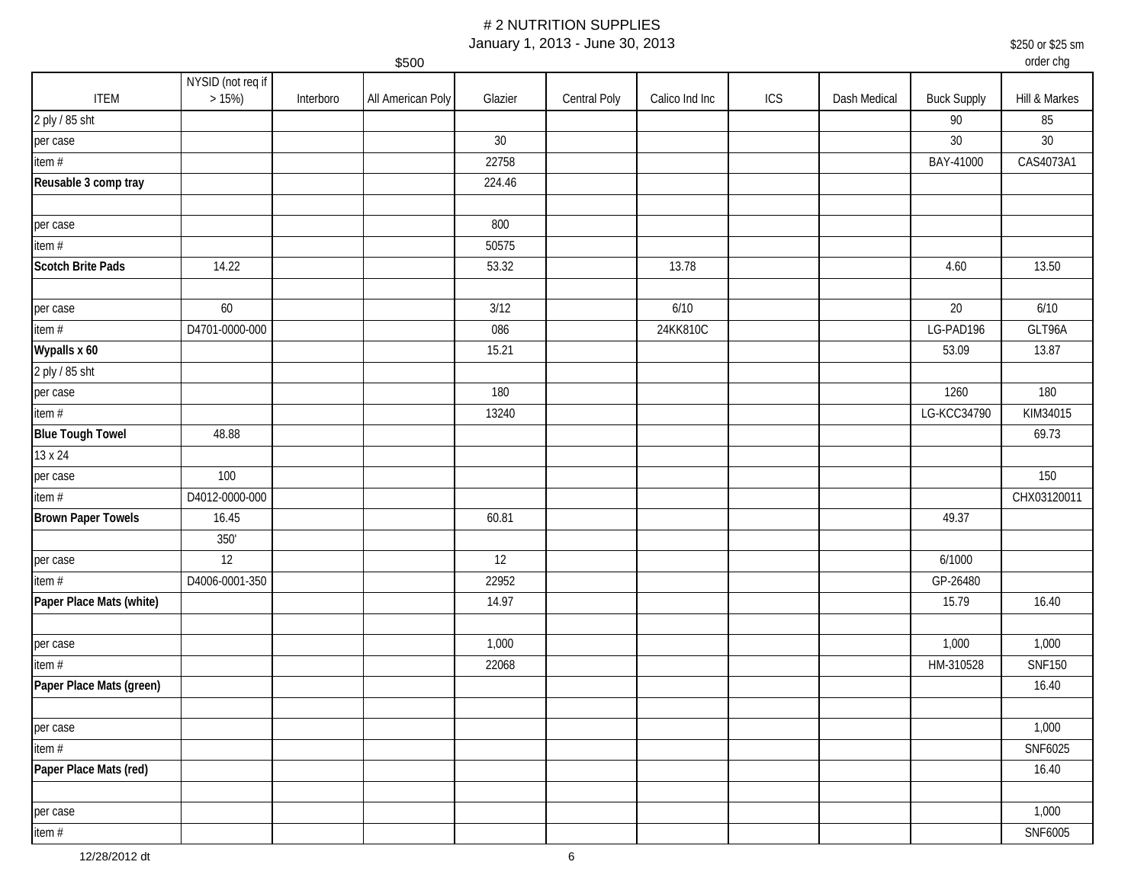January 1, 2013 - June 30, 2013

|                           |                               |           | \$500             |         |              |                |     |              |                    | order cng     |
|---------------------------|-------------------------------|-----------|-------------------|---------|--------------|----------------|-----|--------------|--------------------|---------------|
| <b>ITEM</b>               | NYSID (not req if<br>$>15\%)$ | Interboro | All American Poly | Glazier | Central Poly | Calico Ind Inc | ICS | Dash Medical | <b>Buck Supply</b> | Hill & Markes |
| 2 ply / 85 sht            |                               |           |                   |         |              |                |     |              | 90                 | 85            |
| per case                  |                               |           |                   | 30      |              |                |     |              | $30\,$             | $30\,$        |
| item#                     |                               |           |                   | 22758   |              |                |     |              | BAY-41000          | CAS4073A1     |
| Reusable 3 comp tray      |                               |           |                   | 224.46  |              |                |     |              |                    |               |
|                           |                               |           |                   |         |              |                |     |              |                    |               |
| per case                  |                               |           |                   | 800     |              |                |     |              |                    |               |
| item #                    |                               |           |                   | 50575   |              |                |     |              |                    |               |
| Scotch Brite Pads         | 14.22                         |           |                   | 53.32   |              | 13.78          |     |              | 4.60               | 13.50         |
|                           |                               |           |                   |         |              |                |     |              |                    |               |
| per case                  | 60                            |           |                   | 3/12    |              | 6/10           |     |              | 20                 | 6/10          |
| item#                     | D4701-0000-000                |           |                   | 086     |              | 24KK810C       |     |              | LG-PAD196          | GLT96A        |
| Wypalls x 60              |                               |           |                   | 15.21   |              |                |     |              | 53.09              | 13.87         |
| 2 ply / 85 sht            |                               |           |                   |         |              |                |     |              |                    |               |
| per case                  |                               |           |                   | 180     |              |                |     |              | 1260               | 180           |
| item#                     |                               |           |                   | 13240   |              |                |     |              | LG-KCC34790        | KIM34015      |
| <b>Blue Tough Towel</b>   | 48.88                         |           |                   |         |              |                |     |              |                    | 69.73         |
| 13 x 24                   |                               |           |                   |         |              |                |     |              |                    |               |
| per case                  | 100                           |           |                   |         |              |                |     |              |                    | 150           |
| item#                     | D4012-0000-000                |           |                   |         |              |                |     |              |                    | CHX03120011   |
| <b>Brown Paper Towels</b> | 16.45                         |           |                   | 60.81   |              |                |     |              | 49.37              |               |
|                           | $350^\circ$                   |           |                   |         |              |                |     |              |                    |               |
| per case                  | 12                            |           |                   | 12      |              |                |     |              | 6/1000             |               |
| item#                     | D4006-0001-350                |           |                   | 22952   |              |                |     |              | GP-26480           |               |
| Paper Place Mats (white)  |                               |           |                   | 14.97   |              |                |     |              | 15.79              | 16.40         |
|                           |                               |           |                   |         |              |                |     |              |                    |               |
| per case                  |                               |           |                   | 1,000   |              |                |     |              | 1,000              | 1,000         |
| item#                     |                               |           |                   | 22068   |              |                |     |              | HM-310528          | <b>SNF150</b> |
| Paper Place Mats (green)  |                               |           |                   |         |              |                |     |              |                    | 16.40         |
|                           |                               |           |                   |         |              |                |     |              |                    |               |
| per case                  |                               |           |                   |         |              |                |     |              |                    | 1,000         |
| item#                     |                               |           |                   |         |              |                |     |              |                    | SNF6025       |
| Paper Place Mats (red)    |                               |           |                   |         |              |                |     |              |                    | 16.40         |
|                           |                               |           |                   |         |              |                |     |              |                    |               |
| per case                  |                               |           |                   |         |              |                |     |              |                    | 1,000         |
| item#                     |                               |           |                   |         |              |                |     |              |                    | SNF6005       |

\$250 or \$25 sm

order chg